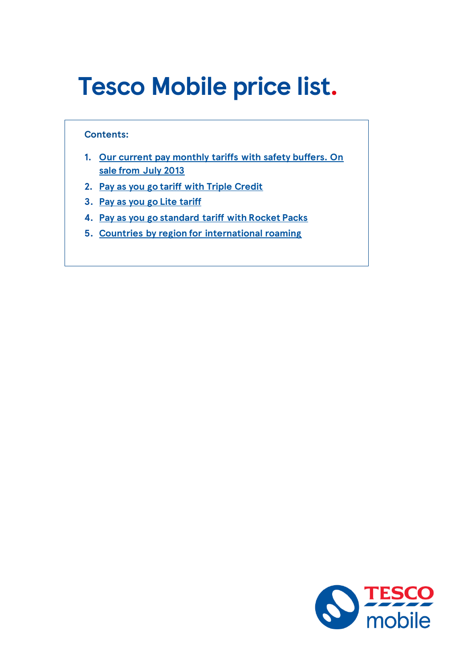# <span id="page-0-0"></span>**Tesco Mobile price list.**

#### **Contents:**

- **1. [Our current pay monthly tariffs with safety buffers. On](#page-1-0)  [sale from July 2013](#page-1-0)**
- **2. [Pay as you go tariff with Triple Credit](#page-4-0)**
- **3. [Pay as you go Lite tariff](#page-7-0)**
- **4. [Pay as you go standard tariff with Rocket Packs](#page-10-0)**
- **5. [Countries by region for international roaming](#page-13-0)**

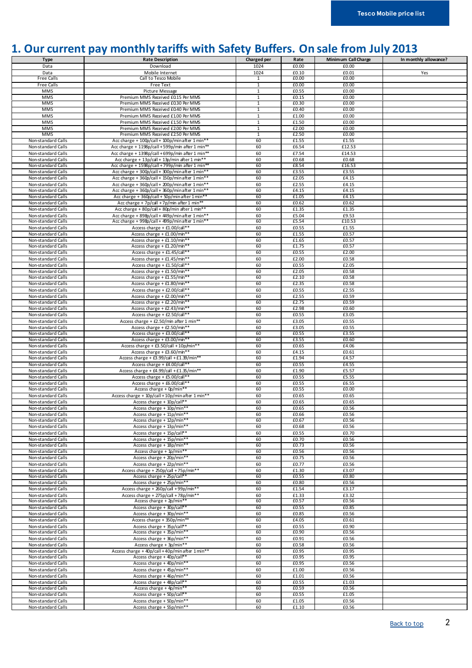### <span id="page-1-0"></span>**1. Our current pay monthly tariffs with Safety Buffers. On sale from July 2013**

| <b>Type</b>                              | <b>Rate Description</b>                                                     | Charged per    | Rate                | Minimum Call Charge | In monthly allowance? |
|------------------------------------------|-----------------------------------------------------------------------------|----------------|---------------------|---------------------|-----------------------|
| Data                                     | Download                                                                    | 1024           | £0.00               | £0.00               |                       |
| Data                                     | Mobile Internet                                                             | 1024           | £0.10               | £0.01               | Yes                   |
| <b>Free Calls</b>                        | Call to Tesco Mobile                                                        | 1              | £0.00               | £0.00               |                       |
| <b>Free Calls</b>                        | Free Text                                                                   | $\overline{1}$ | £0.00               | £0.00               |                       |
| <b>MMS</b>                               | Picture Message                                                             | $\mathbf 1$    | £0.55               | £0.00               |                       |
| <b>MMS</b>                               | Premium MMS Received £0.15 Per MMS                                          | $1\,$          | £0.15               | £0.00               |                       |
| <b>MMS</b>                               | Premium MMS Received £0.30 Per MMS                                          | $\overline{1}$ | £0.30               | £0.00               |                       |
| <b>MMS</b>                               | Premium MMS Received £0.40 Per MMS                                          | $\mathbf{1}$   | £0.40               | £0.00               |                       |
| <b>MMS</b>                               | Premium MMS Received £1.00 Per MMS                                          | $\mathbf{1}$   | £1.00               | £0.00               |                       |
| <b>MMS</b>                               | Premium MMS Received £1.50 Per MMS                                          | $\mathbf{1}$   | £1.50               | £0.00               |                       |
| <b>MMS</b>                               | Premium MMS Received £2.00 Per MMS                                          | $\mathbf{1}$   | £2.00               | £0.00               |                       |
| <b>MMS</b>                               | Premium MMS Received £2.50 Per MMS                                          | $\overline{1}$ | £2.50               | £0.00               |                       |
| Non-standard Calls                       | Acc charge + 100p/call + 100p/min after 1 min**                             | 60             | £1.55               | £1.55               |                       |
| Non-standard Calls                       | Acc charge + 1198p/call + 599p/min after 1 min**                            | 60             | £6.54               | £12.53              |                       |
| Non-standard Calls                       | Acc charge + 1398p/call + 699p/min after 1 min**                            | 60             | £7.54               | £14.53              |                       |
| Non-standard Calls                       | Acc charge + 13p/call + 13p/min after 1 min**                               | 60             | £0.68               | £0.68               |                       |
| Non-standard Calls                       | Acc charge + 1598p/call + 799p/min after 1 min**                            | 60             | £8.54               | £16.53              |                       |
| Non-standard Calls                       | Acc charge + 300p/call + 300p/min after 1 min**                             | 60             | £3.55               | £3.55               |                       |
| Non-standard Calls                       | Acc charge + 360p/call + 150p/min after 1 min**                             | 60             | £2.05               | £4.15               |                       |
| Non-standard Calls                       | Acc charge + 360p/call + 200p/min after 1 min**                             | 60             | £2.55               | £4.15               |                       |
| Non-standard Calls                       | Acc charge + 360p/call + 360p/min after 1 min*                              | 60             | £4.15               | £4.15               |                       |
| Non-standard Calls                       | Acc charge + 360p/call + 50p/min after 1 min*                               | 60             | £1.05               | £4.15               |                       |
| Non-standard Calls                       | Acc charge + 7p/call + 7p/min after 1 min**                                 | 60             | £0.62               | £0.62               |                       |
| Non-standard Calls                       | Acc charge + 80p/call + 80p/min after 1 min**                               | 60             | £1.35               | £1.35               |                       |
| Non-standard Calls                       | Acc charge + 898p/call + 449p/min after 1 min**                             | 60             | £5.04               | £9.53               |                       |
| Non-standard Calls                       | Acc charge + 998p/call + 499p/min after 1 min**                             | 60             | £5.54               | £10.53              |                       |
| Non-standard Calls                       | Access charge + £1.00/call**                                                | 60             | £0.55               | £1.55               |                       |
| Non-standard Calls                       | Access charge + £1.00/min**                                                 | 60             | £1.55               | £0.57               |                       |
| Non-standard Calls                       | Access charge + £1.10/min**                                                 | 60             | £1.65               | £0.57               |                       |
| Non-standard Calls                       | Access charge + £1.20/min**                                                 | 60             | £1.75               | £0.57               |                       |
| Non-standard Calls                       | Access charge + £1.45/call**                                                | 60             | £0.55               | £2.00               |                       |
| Non-standard Calls                       | Access charge + £1.45/min**                                                 | 60             | £2.00               | £0.58               |                       |
| Non-standard Calls                       | Access charge + £1.50/call**                                                | 60             | £0.55               | £2.05               |                       |
| Non-standard Calls                       | Access charge + £1.50/min**                                                 | 60             | £2.05               | £0.58               |                       |
| Non-standard Calls                       | Access charge + £1.55/min**                                                 | 60             | £2.10               | £0.58               |                       |
| Non-standard Calls                       | Access charge + £1.80/min**                                                 | 60             | £2.35               | £0.58               |                       |
| Non-standard Calls                       | Access charge + £2.00/call**                                                | 60             | £0.55               | £2.55               |                       |
| Non-standard Calls                       | Access charge + £2.00/min**                                                 | 60             | $\overline{f}$ 2.55 | £0.59               |                       |
| Non-standard Calls                       | Access charge + £2.20/min**                                                 | 60             | £2.75               | £0.59               |                       |
| Non-standard Calls                       | Access charge + £2.43/min**                                                 | 60             | £2.98               | £0.60               |                       |
| Non-standard Calls                       | Access charge + £2.50/call**                                                | 60             | £0.55               | £3.05               |                       |
| Non-standard Calls                       | Access charge + £2.50/min after 1 min**                                     | 60             | £3.05               | £0.55               |                       |
| Non-standard Calls                       | Access charge + £2.50/min**                                                 | 60             | £3.05               | £0.55               |                       |
| Non-standard Calls                       | Access charge + £3.00/call**                                                | 60             | £0.55               | £3.55               |                       |
| Non-standard Calls                       | Access charge + £3.00/min**                                                 | 60             | £3.55               | £0.60               |                       |
| Non-standard Calls                       | Access charge + £3.50/call + 10p/min**                                      | 60             | £0.65               | £4.06               |                       |
| Non-standard Calls                       | Access charge + £3.60/min**                                                 | 60             | £4.15               | £0.61               |                       |
| Non-standard Calls                       | Access charge + £3.99/call + £1.39/min**                                    | 60             | £1.94               | £4.57               |                       |
| Non-standard Calls                       | Access charge + £4.00/call**                                                | 60             | £0.55               | £4.55               |                       |
| Non-standard Calls                       | Access charge + £4.99/call + £1.35/min**                                    | 60             | £1.90               | £5.57               |                       |
| Non-standard Calls                       | Access charge + £5.00/call**<br>Access charge + £6.00/call**                | 60             | £0.55               | £5.55               |                       |
| Non-standard Calls<br>Non-standard Calls |                                                                             | 60<br>60       | £0.55<br>£0.55      | £6.55<br>£0.00      |                       |
| Non-standard Calls                       | Access charge + 0p/min**<br>Access charge + 10p/call + 10p/minafter 1 min** | 60             | £0.65               | £0.65               |                       |
| Non-standard Calls                       | Access charge + 10p/call**                                                  | 60             | £0.65               | £0.65               |                       |
| Non-standard Calls                       | Access charge + 10p/min**                                                   | 60             | £0.65               | £0.56               |                       |
| Non-standard Calls                       | Access charge + 11p/min**                                                   | 60             | £0.66               | £0.56               |                       |
| Non-standard Calls                       | Access charge + 12p/min**                                                   | 60             | £0.67               | £0.56               |                       |
| Non-standard Calls                       | Access charge + 13p/min**                                                   | 60             | £0.68               | £0.56               |                       |
| Non-standard Calls                       | Access charge + 15p/call**                                                  | 60             | £0.55               | £0.70               |                       |
| Non-standard Calls                       | Access charge + 15p/min**                                                   | 60             | £0.70               | £0.56               |                       |
| Non-standard Calls                       | Access charge + 18p/min**                                                   | 60             | £0.73               | £0.56               |                       |
| Non-standard Calls                       | Access charge + 1p/min**                                                    | 60             | £0.56               | £0.56               |                       |
| Non-standard Calls                       | Access charge + 20p/min**                                                   | 60             | £0.75               | £0.56               |                       |
| Non-standard Calls                       | Access charge + 22p/min**                                                   | 60             | £0.77               | £0.56               |                       |
| Non-standard Calls                       | Access charge + 250p/call + 75p/min**                                       | 60             | £1.30               | £3.07               |                       |
| Non-standard Calls                       | Access charge + 25p/call**                                                  | 60             | £0.55               | £0.80               |                       |
| Non-standard Calls                       | Access charge + 25p/min**                                                   | 60             | £0.80               | £0.56               |                       |
| Non-standard Calls                       | Access charge + 260p/call +99p/min**                                        | 60             | £1.54               | £3.17               |                       |
| Non-standard Calls                       | Access charge + 275p/call + 78p/min**                                       | 60             | £1.33               | £3.32               |                       |
| Non-standard Calls                       | Access charge + 2p/min**                                                    | 60             | £0.57               | £0.56               |                       |
| Non-standard Calls                       | Access charge + 30p/call**                                                  | 60             | £0.55               | £0.85               |                       |
| Non-standard Calls                       | Access charge + 30p/min**                                                   | 60             | £0.85               | £0.56               |                       |
| Non-standard Calls                       | Access charge + 350p/min**                                                  | 60             | £4.05               | £0.61               |                       |
| Non-standard Calls                       | Access charge + 35p/call**                                                  | 60             | £0.55               | £0.90               |                       |
| Non-standard Calls                       | Access charge + 35p/min**                                                   | 60             | £0.90               | £0.56               |                       |
| Non-standard Calls                       | Access charge + 36p/min**                                                   | 60             | £0.91               | £0.56               |                       |
| Non-standard Calls                       | Access charge + 3p/min**                                                    | 60             | £0.58               | £0.56               |                       |
| Non-standard Calls                       | Access charge + 40p/call + 40p/min after 1 min**                            | 60             | £0.95               | £0.95               |                       |
| Non-standard Calls                       | Access charge + 40p/call**                                                  | 60             | £0.95               | £0.95               |                       |
| Non-standard Calls                       | Access charge + 40p/min**                                                   | 60             | £0.95               | £0.56               |                       |
| Non-standard Calls                       | Access charge + 45p/min**                                                   | 60             | £1.00               | £0.56               |                       |
| Non-standard Calls                       | Access charge + 46p/min**                                                   | 60             | £1.01               | £0.56               |                       |
| Non-standard Calls                       | Access charge + 48p/call**                                                  | 60             | £0.55               | £1.03               |                       |
| Non-standard Calls                       | Access charge + 4p/min**                                                    | 60             | £0.59               | £0.56               |                       |
| Non-standard Calls                       | Access charge + 50p/call**                                                  | 60             | £0.55               | £1.05               |                       |
| Non-standard Calls                       | Access charge + 50p/min**                                                   | 60             | £1.05               | £0.56               |                       |
| Non-standard Calls                       | Access charge + 55p/min**                                                   | 60             | £1.10               | £0.56               |                       |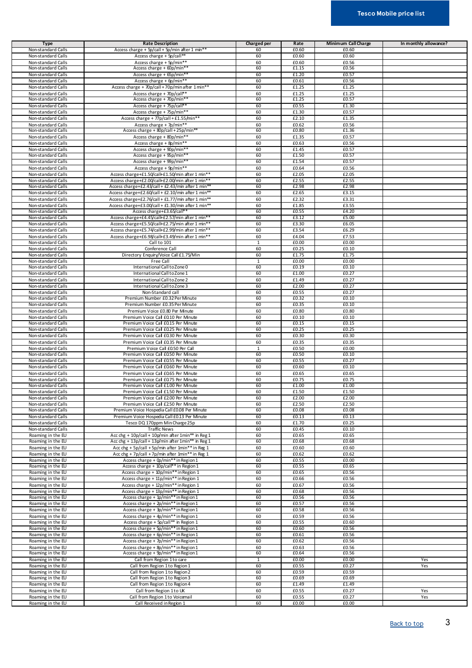#### **Tesco Mobile price list**

| <b>Type</b>                              | <b>Rate Description</b>                                                        | Charged per    | Rate           | Minimum Call Charge | In monthly allowance? |
|------------------------------------------|--------------------------------------------------------------------------------|----------------|----------------|---------------------|-----------------------|
| Non-standard Calls                       | Access charge + 5p/call + 5p/min after 1 min**                                 | 60             | £0.60          | £0.60               |                       |
| Non-standard Calls                       | Access charge + 5p/call**                                                      | 60             | £0.60          | £0.60               |                       |
| Non-standard Calls                       | Access charge + 5p/min**                                                       | 60             | £0.60          | £0.56               |                       |
| Non-standard Calls                       | Access charge $+60p/min*$                                                      | 60             | £1.15          | £0.56               |                       |
| Non-standard Calls                       | Access charge + 65p/min**                                                      | 60             | £1.20          | £0.57               |                       |
| Non-standard Calls                       | Access charge + 6p/min**                                                       | 60             | £0.61          | £0.56               |                       |
| Non-standard Calls                       | Access charge + 70p/call + 70p/min after 1 min**                               | 60             | £1.25          | £1.25               |                       |
| Non-standard Calls                       | Access charge + 70p/call**                                                     | 60             | £1.25          | £1.25               |                       |
| Non-standard Calls                       | Access charge + 70p/min**                                                      | 60             | £1.25          | £0.57               |                       |
| Non-standard Calls                       | Access charge + 75p/call**                                                     | 60             | £0.55          | £1.30               |                       |
| Non-standard Calls                       | Access charge + 75p/min**                                                      | 60             | £1.30          | £0.57               |                       |
| Non-standard Calls                       | Access charge + 77p/call + £1.55/min**                                         | 60             | £2.10          | £1.35               |                       |
| Non-standard Calls                       | Access charge + 7p/min**                                                       | 60             | £0.62<br>£0.80 | £0.56               |                       |
| Non-standard Calls                       | Access charge + 80p/call + 25p/min*<br>Access charge + 80p/min**               | 60<br>60       | £1.35          | £1.36<br>£0.57      |                       |
| Non-standard Calls<br>Non-standard Calls | Access charge + 8p/min**                                                       | 60             | £0.63          | £0.56               |                       |
| Non-standard Calls                       | Access charge + 90p/min**                                                      | 60             | £1.45          | £0.57               |                       |
| Non-standard Calls                       | Access charge + 95p/min*                                                       | 60             | £1.50          | £0.57               |                       |
| Non-standard Calls                       | Access charge + 99p/min*                                                       | 60             | £1.54          | £0.57               |                       |
| Non-standard Calls                       | Access charge + 9p/min**                                                       | 60             | £0.64          | £0.56               |                       |
| Non-standard Calls                       | Access charge+£1.50/call+£1.50/min after 1 min**                               | 60             | £2.05          | £2.05               |                       |
| Non-standard Calls                       | Access charge+£2.00/call+£2.00/min after 1 min**                               | 60             | £2.55          | £2.55               |                       |
| Non-standard Calls                       | Access charge+£2.43/call + £2.43/min after 1 min**                             | 60             | £2.98          | £2.98               |                       |
| Non-standard Calls                       | Access charge+£2.60/call + £2.10/min after 1 min**                             | 60             | £2.65          | £3.15               |                       |
| Non-standard Calls                       | Access charge+£2.76/call + £1.77/min after 1 min**                             | 60             | £2.32          | £3.31               |                       |
| Non-standard Calls                       | Access charge+£3.00/call + £1.30/min after 1 min**                             | 60             | £1.85          | £3.55               |                       |
| Non-standard Calls                       | Access charge+£3.65/call**                                                     | 60             | £0.55          | £4.20               |                       |
| Non-standard Calls                       | Access charge+£4.45/call+£2.57/min after 1 min**                               | 60             | £3.12          | £5.00               |                       |
| Non-standard Calls                       | Access charge+£5.50/call+£2.75/min after 1 min**                               | 60             | £3.30          | £6.05               |                       |
| Non-standard Calls                       | Access charge+£5.74/call+£2.99/min after 1 min**                               | 60             | £3.54          | £6.29               |                       |
| Non-standard Calls                       | Access charge+£6.98/call+£3.49/min after 1 min**                               | 60             | £4.04          | £7.53               |                       |
| Non-standard Calls                       | Call to 101                                                                    | 1              | £0.00          | £0.00               |                       |
| Non-standard Calls                       | Conference Call                                                                | 60             | £0.25          | £0.10               |                       |
| Non-standard Calls                       | Directory Enquiry/Voice Call £1.75/Min                                         | 60             | £1.75          | £1.75               |                       |
| Non-standard Calls<br>Non-standard Calls | Free Call<br>International Call to Zone 0                                      | 1              | £0.00          | £0.00               |                       |
|                                          |                                                                                | 60<br>60       | £0.19<br>£1.00 | £0.10<br>£0.27      |                       |
| Non-standard Calls<br>Non-standard Calls | International Call to Zone 1<br>International Call to Zone 2                   | 60             | £1.49          | £0.27               |                       |
| Non-standard Calls                       | International Call to Zone 3                                                   | 60             | £2.00          | £0.27               |                       |
| Non-standard Calls                       | Non-Standard call                                                              | 60             | £0.55          | £0.27               |                       |
| Non-standard Calls                       | Premium Number £0.32 Per Minute                                                | 60             | £0.32          | £0.10               |                       |
| Non-standard Calls                       | Premium Number £0.35 Per Minute                                                | 60             | £0.35          | £0.10               |                       |
| Non-standard Calls                       | Premium Voice £0.80 Per Minute                                                 | 60             | £0.80          | £0.80               |                       |
| Non-standard Calls                       | Premium Voice Call £0.10 Per Minute                                            | 60             | £0.10          | £0.10               |                       |
| Non-standard Calls                       | Premium Voice Call £0.15 Per Minute                                            | 60             | £0.15          | £0.15               |                       |
| Non-standard Calls                       | Premium Voice Call £0.25 Per Minute                                            | 60             | £0.25          | £0.25               |                       |
| Non-standard Calls                       | Premium Voice Call £0.30 Per Minute                                            | 60             | £0.30          | £0.30               |                       |
| Non-standard Calls                       | Premium Voice Call £0.35 Per Minute                                            | 60             | £0.35          | £0.35               |                       |
| Non-standard Calls                       | Premium Voice Call £0.50 Per Call                                              | $\mathbf{1}$   | £0.50          | £0.00               |                       |
| Non-standard Calls                       | Premium Voice Call £0.50 Per Minute                                            | 60             | £0.50          | £0.10               |                       |
| Non-standard Calls                       | Premium Voice Call £0.55 Per Minute                                            | 60             | £0.55          | £0.27               |                       |
| Non-standard Calls                       | Premium Voice Call £0.60 Per Minute                                            | 60             | £0.60          | £0.10               |                       |
| Non-standard Calls                       | Premium Voice Call £0.65 Per Minute                                            | 60             | £0.65          | $E$ 0.65            |                       |
| Non-standard Calls<br>Non-standard Calls | Premium Voice Call £0.75 Per Minute                                            | 60<br>60       | £0.75<br>£1.00 | £0.75<br>£1.00      |                       |
| Non-standard Calls                       | Premium Voice Call £1.00 Per Minute<br>Premium Voice Call £150 Per Minute      | 60             | £1.50          | £1.50               |                       |
| Non-standard Calls                       | Premium Voice Call £2.00 Per Minute                                            | 60             | £2.00          | £2.00               |                       |
| Non-standard Calls                       | Premium Voice Call £2.50 Per Minute                                            | 60             | £2.50          | £2.50               |                       |
| Non-standard Calls                       | Premium Voice Hospedia Call £0.08 Per Minute                                   | 60             | £0.08          | £0.08               |                       |
| Non-standard Calls                       | Premium Voice Hospedia Call £0.13 Per Minute                                   | 60             | £0.13          | £0.13               |                       |
| Non-standard Calls                       | Tesco DQ 170ppm Min Charge 25p                                                 | 60             | £1.70          | £0.25               |                       |
| Non-standard Calls                       | <b>Traffic News</b>                                                            | 60             | £0.45          | £0.10               |                       |
| Roaming in the EU                        | Acc chg + 10p/call + 10p/min after 1min** in Reg 1                             | 60             | £0.65          | £0.65               |                       |
| Roaming in the EU                        | Acc chg + 13p/call + 13p/min after 1min** in Reg 1                             | 60             | £0.68          | £0.68               |                       |
| Roaming in the EU                        | Acc chg + 5p/call + 5p/min after 1min** in Reg 1                               | 60             | £0.60          | £0.60               |                       |
| Roaming in the EU                        | Acc chg + 7p/call + 7p/min after 1min** in Reg 1                               | 60             | £0.62          | £0.62               |                       |
| Roaming in the EU                        | Access charge + 0p/min** in Region 1                                           | 60             | £0.55          | £0.00               |                       |
| Roaming in the EU                        | Access charge + 10p/call** in Region 1                                         | 60             | £0.55          | £0.65               |                       |
| Roaming in the EU                        | Access charge + 10p/min** in Region 1                                          | 60             | £0.65          | £0.56               |                       |
| Roaming in the EU                        | Access charge + 11p/min** in Region 1                                          | 60             | £0.66<br>£0.67 | £0.56               |                       |
| Roaming in the EU<br>Roaming in the EU   | Access charge + 12p/min** in Region 1<br>Access charge + 13p/min** in Region 1 | 60<br>60       | £0.68          | £0.56<br>£0.56      |                       |
| Roaming in the EU                        | Access charge + 1p/min** in Region 1                                           | 60             | £0.56          | £0.56               |                       |
| Roaming in the EU                        | Access charge + 2p/min** in Region 1                                           | 60             | £0.57          | £0.56               |                       |
| Roaming in the EU                        | Access charge + 3p/min** in Region 1                                           | 60             | £0.58          | £0.56               |                       |
| Roaming in the EU                        | Access charge + 4p/min** in Region 1                                           | 60             | £0.59          | £0.56               |                       |
| Roaming in the EU                        | Access charge + 5p/call** in Region 1                                          | 60             | £0.55          | £0.60               |                       |
| Roaming in the EU                        | Access charge + 5p/min** in Region 1                                           | 60             | £0.60          | £0.56               |                       |
| Roaming in the EU                        | Access charge + 6p/min** in Region 1                                           | 60             | £0.61          | £0.56               |                       |
| Roaming in the EU                        | Access charge + 7p/min** in Region 1                                           | 60             | £0.62          | £0.56               |                       |
| Roaming in the EU                        | Access charge + 8p/min** in Region 1                                           | 60             | £0.63          | £0.56               |                       |
| Roaming in the EU                        | Access charge + 9p/min** in Region 1                                           | 60             | £0.64          | £0.56               |                       |
| Roaming in the EU                        | Call from Region 1 to care                                                     | $\overline{1}$ | £0.00          | £0.00               | Yes                   |
| Roaming in the EU                        | Call from Region 1 to Region 1                                                 | 60             | £0.55          | £0.27               | Yes                   |
| Roaming in the EU                        | Call from Region 1 to Region 2                                                 | 60             | £0.59          | £0.59               |                       |
| Roaming in the EU                        | Call from Region 1 to Region 3                                                 | 60<br>60       | £0.69          | £0.69<br>£1.49      |                       |
| Roaming in the EU<br>Roaming in the EU   | Call from Region 1 to Region 4<br>Call from Region 1 to UK                     | 60             | £1.49<br>£0.55 | £0.27               | Yes                   |
| Roaming in the EU                        | Call from Region 1 to Voicemail                                                | 60             | £0.55          | £0.27               | Yes                   |
| Roaming in the EU                        | Call Received in Region 1                                                      | 60             | £0.00          | £0.00               |                       |

[Back to top](#page-0-0) 3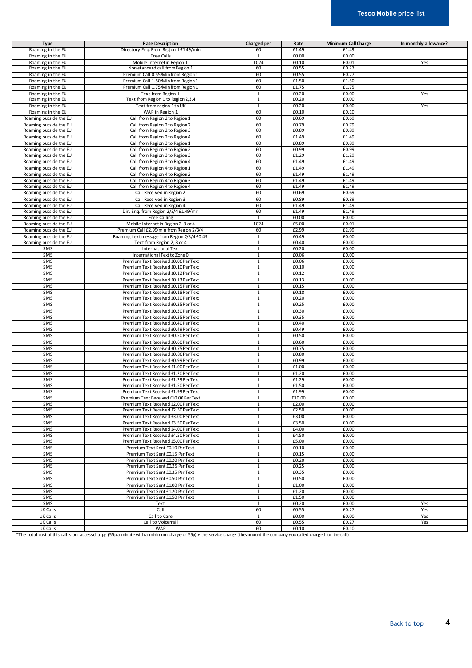#### **Tesco Mobile price list**

| <b>Type</b>            | <b>Rate Description</b>                                        | Charged per    | Rate           | Minimum Call Charge | In monthly allowance? |
|------------------------|----------------------------------------------------------------|----------------|----------------|---------------------|-----------------------|
| Roaming in the EU      | Directory Enq. From Region 1 £1.49/min                         | 60             | £1.49          | £1.49               |                       |
| Roaming in the EU      | Free Calls                                                     | $\mathbf{1}$   | £0.00          | £0.00               |                       |
|                        |                                                                |                |                |                     |                       |
| Roaming in the EU      | Mobile Internet in Region 1<br>Non-standard call from Region 1 | 1024<br>60     | £0.10<br>£0.55 | £0.01<br>£0.27      | Yes                   |
| Roaming in the EU      |                                                                | 60             |                |                     |                       |
| Roaming in the EU      | Premium Call 0.55/Minfrom Region 1                             |                | £0.55          | £0.27               |                       |
| Roaming in the EU      | Premium Call 1.50/Minfrom Region 1                             | 60             | £1.50          | £1.50               |                       |
| Roaming in the EU      | Premium Call 1.75/Minfrom Region 1                             | 60             | £1.75          | £1.75               |                       |
| Roaming in the EU      | Text from Region 1                                             | $\mathbf{1}$   | £0.20          | £0.00               | Yes                   |
| Roaming in the EU      | Text from Region 1 to Region 2,3,4                             | $\mathbf{1}$   | £0.20          | £0.00               |                       |
| Roaming in the EU      | Text from region 1 to UK                                       | 1              | £0.20          | £0.00               | Yes                   |
| Roaming in the EU      | WAP in Region 1                                                | 60             | £0.10          | £0.10               |                       |
| Roaming outside the EU | Call from Region 2 to Region 1                                 | 60             | £0.69          | £0.69               |                       |
| Roaming outside the EU | Call from Region 2 to Region 2                                 | 60             | £0.79          | £0.79               |                       |
| Roaming outside the EU | Call from Region 2 to Region 3                                 | 60             | £0.89          | £0.89               |                       |
| Roaming outside the EU | Call from Region 2 to Region 4                                 | 60             | £1.49          | £1.49               |                       |
| Roaming outside the EU | Call from Region 3 to Region 1                                 | 60             | £0.89          | £0.89               |                       |
| Roaming outside the EU | Call from Region 3 to Region 2                                 | 60             | £0.99          | £0.99               |                       |
|                        |                                                                | 60             | £1.29          | £1.29               |                       |
| Roaming outside the EU | Call from Region 3 to Region 3                                 |                |                |                     |                       |
| Roaming outside the EU | Call from Region 3 to Region 4                                 | 60             | £1.49          | £1.49               |                       |
| Roaming outside the EU | Call from Region 4 to Region 1                                 | 60             | £1.49          | £1.49               |                       |
| Roaming outside the EU | Call from Region 4 to Region 2                                 | 60             | £1.49          | £1.49               |                       |
| Roaming outside the EU | Call from Region 4 to Region 3                                 | 60             | £1.49          | £1.49               |                       |
| Roaming outside the EU | Call from Region 4 to Region 4                                 | 60             | £1.49          | £1.49               |                       |
| Roaming outside the EU | Call Received in Region 2                                      | 60             | £0.69          | £0.69               |                       |
| Roaming outside the EU | Call Received in Region 3                                      | 60             | £0.89          | £0.89               |                       |
| Roaming outside the EU | Call Received in Region 4                                      | 60             | £1.49          | £1.49               |                       |
| Roaming outside the EU | Dir. Eng. from Region 2/3/4 £1.49/min                          | 60             | £1.49          | £1.49               |                       |
| Roaming outside the EU | <b>Free Calling</b>                                            | 1              | £0.00          | £0.00               |                       |
| Roaming outside the EU | Mobile Internet in Region 2, 3 or 4                            | 1024           | £5.00          | £0.01               |                       |
|                        | Premium Call £2.99/min from Region 2/3/4                       | 60             | £2.99          | £2.99               |                       |
| Roaming outside the EU |                                                                |                |                |                     |                       |
| Roaming outside the EU | Roaming text message from Region 2/3/4 £0.49                   | 1              | £0.49          | £0.00               |                       |
| Roaming outside the EU | Text from Region 2, 3 or 4                                     | 1              | £0.40          | £0.00               |                       |
| SMS                    | International Text                                             | $\mathbf{1}$   | £0.20          | £0.00               |                       |
| SMS                    | International Text to Zone 0                                   | $\mathbf 1$    | £0.06          | £0.00               |                       |
| SMS                    | Premium Text Received £0.06 Per Text                           | $1\,$          | £0.06          | £0.00               |                       |
| SMS                    | Premium Text Received £0.10 Per Text                           | $\mathbf{1}$   | £0.10          | £0.00               |                       |
| SMS                    | Premium Text Received £0.12 Per Text                           | 1              | £0.12          | £0.00               |                       |
| SMS                    | Premium Text Received £0.13 Per Text                           | $\mathbf{1}$   | £0.13          | £0.00               |                       |
| SMS                    | Premium Text Received £0.15 Per Text                           | $\mathbf{1}$   | £0.15          | £0.00               |                       |
| SMS                    | Premium Text Received £0.18 Per Text                           | $\mathbf{1}$   | £0.18          | £0.00               |                       |
| SMS                    | Premium Text Received £0.20 Per Text                           | 1              | £0.20          | £0.00               |                       |
| SMS                    | Premium Text Received £0.25 Per Text                           | $\mathbf{1}$   | £0.25          | £0.00               |                       |
| SMS                    | Premium Text Received £0.30 Per Text                           | $\mathbf 1$    | £0.30          | £0.00               |                       |
| SMS                    |                                                                | $\mathbf{1}$   | £0.35          | £0.00               |                       |
|                        | Premium Text Received £0.35 Per Text                           |                |                |                     |                       |
| SMS                    | Premium Text Received £0.40 Per Text                           | $\mathbf{1}$   | £0.40          | £0.00               |                       |
| SMS                    | Premium Text Received £0.49 Per Text                           | 1              | £0.49          | £0.00               |                       |
| SMS                    | Premium Text Received £0.50 Per Text                           | $\mathbf{1}$   | £0.50          | £0.00               |                       |
| SMS                    | Premium Text Received £0.60 Per Text                           | $1\,$          | £0.60          | £0.00               |                       |
| SMS                    | Premium Text Received £0.75 Per Text                           | $\mathbf{1}$   | £0.75          | £0.00               |                       |
| SMS                    | Premium Text Received £0.80 Per Text                           | 1              | £0.80          | £0.00               |                       |
| SMS                    | Premium Text Received £0.99 Per Text                           | $\mathbf{1}$   | £0.99          | £0.00               |                       |
| SMS                    | Premium Text Received £1.00 Per Text                           | $\mathbf{1}$   | £1.00          | £0.00               |                       |
| SMS                    | Premium Text Received £1.20 Per Text                           | $1\,$          | £1.20          | £0.00               |                       |
| SMS                    | Premium Text Received £1.29 Per Text                           | $\mathbf{1}$   | £1.29          | £0.00               |                       |
| SMS                    | Premium Text Received £1.50 Per Text                           | 1              | £1.50          | £0.00               |                       |
| SMS                    | Premium Text Received £1.99 Per Text                           | $\mathbf{1}$   | £1.99          | £0.00               |                       |
|                        |                                                                |                |                |                     |                       |
| SMS                    | Premium Text Received £10.00 Per Text                          | 1              | £10.00         | £0.00               |                       |
| SMS<br>SMS             | Premium Text Received £2.00 Per Text                           | $\mathbf{1}$   | £2.00          | £0.00               |                       |
|                        | Premium Text Received £2.50 Per Text                           | 1              | £2.50          | £0.00               |                       |
| SMS                    | Premium Text Received £3.00 Per Text                           | $\mathbf{1}$   | £3.00          | £0.00               |                       |
| SMS                    | Premium Text Received £3.50 Per Text                           | $\mathbf{1}$   | £3.50          | £0.00               |                       |
| SMS                    | Premium Text Received £4.00 Per Text                           | $\mathbf{1}$   | £4.00          | £0.00               |                       |
| SMS                    | Premium Text Received £4.50 Per Text                           | $\mathbf{1}$   | £4.50          | £0.00               |                       |
| SMS                    | Premium Text Received £5.00 Per Text                           | $\mathbf{1}$   | £5.00          | £0.00               |                       |
| SMS                    | Premium Text Sent £0.10 Per Text                               | $\mathbf{1}$   | £0.10          | £0.00               |                       |
| SMS                    | Premium Text Sent £0.15 Per Text                               | $\mathbf{1}$   | £0.15          | £0.00               |                       |
| SMS                    | Premium Text Sent £0.20 Per Text                               | 1              | £0.20          | £0.00               |                       |
| SMS                    | Premium Text Sent £0.25 Per Text                               | 1              | £0.25          | £0.00               |                       |
| SMS                    | Premium Text Sent £0.35 Per Text                               | $\overline{1}$ | £0.35          | £0.00               |                       |
| SMS                    | Premium Text Sent £0.50 Per Text                               | $\mathbf{1}$   | £0.50          | £0.00               |                       |
|                        |                                                                |                |                |                     |                       |
| SMS                    | Premium Text Sent £1.00 Per Text                               | $\mathbf{1}$   | £1.00          | £0.00               |                       |
| SMS                    | Premium Text Sent £1.20 Per Text                               | $\mathbf{1}$   | £1.20          | £0.00               |                       |
| SMS                    | Premium Text Sent £150 Per Text                                | $\mathbf{1}$   | £1.50          | £0.00               |                       |
| SMS                    | Text                                                           | $\mathbf{1}$   | £0.20          | £0.00               | Yes                   |
| UK Calls               | Call                                                           | 60             | £0.55          | £0.27               | Yes                   |
| UK Calls               | Call to Care                                                   | $\mathbf{1}$   | £0.00          | £0.00               | Yes                   |
| <b>UK Calls</b>        | Call to Voicemail                                              | 60             | £0.55          | £0.27               | Yes                   |
| <b>UK Calls</b>        | WAP                                                            | 60             | £0.10          | £0.10               |                       |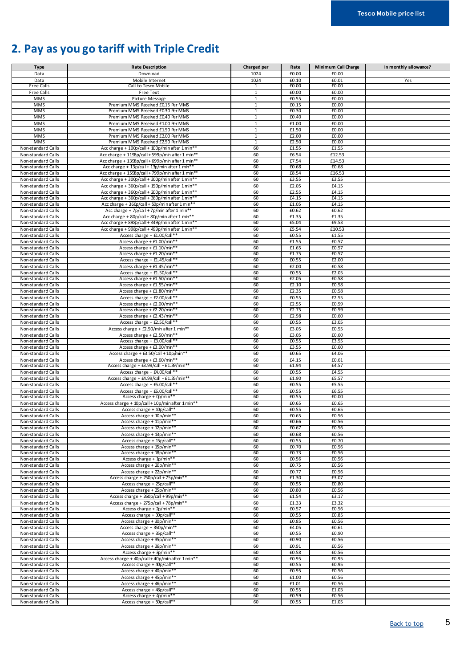## <span id="page-4-0"></span>**2. Pay as you go tariff with Triple Credit**

| <b>Type</b>                              | <b>Rate Description</b>                                                                           | Charged per    | Rate           | Minimum Call Charge | In monthly allowance? |
|------------------------------------------|---------------------------------------------------------------------------------------------------|----------------|----------------|---------------------|-----------------------|
| Data                                     | Download                                                                                          | 1024           | £0.00          | £0.00               |                       |
| Data                                     | Mobile Internet                                                                                   | 1024           | £0.10          | £0.01               | Yes                   |
| <b>Free Calls</b>                        | Call to Tesco Mobile                                                                              | 1              | £0.00          | £0.00               |                       |
| Free Calls                               | Free Text                                                                                         | $\mathbf{1}$   | £0.00          | £0.00               |                       |
| <b>MMS</b>                               | Picture Message                                                                                   | $\mathbf{1}$   | £0.55          | £0.00               |                       |
| <b>MMS</b>                               | Premium MMS Received £0.15 Per MMS                                                                | $\mathbf{1}$   | £0.15          | £0.00               |                       |
| <b>MMS</b>                               | Premium MMS Received £0.30 Per MMS                                                                | $\overline{1}$ | £0.30          | £0.00               |                       |
| <b>MMS</b>                               | Premium MMS Received £0.40 Per MMS                                                                | 1              | £0.40          | £0.00               |                       |
| <b>MMS</b>                               | Premium MMS Received £1.00 Per MMS                                                                | $\mathbf{1}$   | £1.00          | £0.00               |                       |
| <b>MMS</b>                               | Premium MMS Received £1.50 Per MMS                                                                | $\mathbf{1}$   | £1.50          | £0.00               |                       |
| <b>MMS</b>                               | Premium MMS Received £2.00 Per MMS                                                                | $\mathbf{1}$   | £2.00          | £0.00               |                       |
| <b>MMS</b>                               | Premium MMS Received £2.50 Per MMS                                                                | $\mathbf{1}$   | £2.50          | £0.00               |                       |
| Non-standard Calls                       | Acc charge + 100p/call + 100p/min after 1 min**                                                   | 60             | £1.55          | £1.55               |                       |
| Non-standard Calls                       | Acc charge + 1198p/call + 599p/min after 1 min**                                                  | 60             | £6.54          | £12.53              |                       |
| Non-standard Calls                       | Acc charge + 1398p/call + 699p/min after 1 min**                                                  | 60<br>60       | £7.54          | £14.53              |                       |
| Non-standard Calls                       | Acc charge + 13p/call + 13p/min after 1 min**                                                     | 60             | £0.68          | £0.68<br>£16.53     |                       |
| Non-standard Calls                       | Acc charge + 1598p/call + 799p/min after 1 min**                                                  | 60             | £8.54          | £3.55               |                       |
| Non-standard Calls<br>Non-standard Calls | Acc charge + 300p/call + 300p/min after 1 min**                                                   | 60             | £3.55<br>£2.05 | £4.15               |                       |
| Non-standard Calls                       | Acc charge + 360p/call + 150p/minafter 1 min**<br>Acc charge + 360p/call + 200p/min after 1 min** | 60             | £2.55          | £4.15               |                       |
| Non-standard Calls                       | Acc charge + 360p/call + 360p/minafter 1 min*                                                     | 60             | £4.15          | £4.15               |                       |
| Non-standard Calls                       | Acc charge + 360p/call + 50p/minafter 1 min*                                                      | 60             | £1.05          | £4.15               |                       |
| Non-standard Calls                       | Acc charge + 7p/call + 7p/min after 1 min**                                                       | 60             | £0.62          | £0.62               |                       |
| Non-standard Calls                       | Acc charge + 80p/call + 80p/min after 1 min**                                                     | 60             | £1.35          | £1.35               |                       |
| Non-standard Calls                       | Acc charge + 898p/call + 449p/minafter 1 min*                                                     | 60             | £5.04          | £9.53               |                       |
| Non-standard Calls                       | Acc charge + 998p/call + 499p/minafter 1 min*                                                     | 60             | £5.54          | £10.53              |                       |
| Non-standard Calls                       | Access charge + £1.00/call**                                                                      | 60             | £0.55          | £1.55               |                       |
| Non-standard Calls                       | Access charge + £1.00/min**                                                                       | 60             | £1.55          | £0.57               |                       |
| Non-standard Calls                       | Access charge + £1.10/min**                                                                       | 60             | £1.65          | £0.57               |                       |
| Non-standard Calls                       | Access charge + £1.20/min**                                                                       | 60             | £1.75          | £0.57               |                       |
| Non-standard Calls                       | Access charge + £1.45/call*                                                                       | 60             | £0.55          | £2.00               |                       |
| Non-standard Calls                       | Access charge + £1.45/min**                                                                       | 60             | £2.00          | £0.58               |                       |
| Non-standard Calls                       | Access charge + £1.50/call**                                                                      | 60             | £0.55          | £2.05               |                       |
| Non-standard Calls                       | Access charge + £1.50/min*                                                                        | 60             | £2.05          | £0.58               |                       |
| Non-standard Calls                       | Access charge + £1.55/min**                                                                       | 60             | £2.10          | £0.58               |                       |
| Non-standard Calls                       | Access charge + £1.80/min**                                                                       | 60             | £2.35          | £0.58               |                       |
| Non-standard Calls                       | Access charge + £2.00/call**                                                                      | 60             | £0.55          | £2.55               |                       |
| Non-standard Calls                       | Access charge + £2.00/min**                                                                       | 60             | £2.55          | £0.59               |                       |
| Non-standard Calls                       | Access charge + £2.20/min**                                                                       | 60             | £2.75          | £0.59               |                       |
| Non-standard Calls                       | Access charge + $E2.43/min*$                                                                      | 60             | £2.98          | £0.60               |                       |
| Non-standard Calls                       | Access charge + £2.50/call**                                                                      | 60             | £0.55          | £3.05               |                       |
| Non-standard Calls                       | Access charge + £2.50/min after 1 min**                                                           | 60             | £3.05          | £0.55               |                       |
| Non-standard Calls                       | Access charge + £2.50/min**                                                                       | 60             | £3.05          | £0.60               |                       |
| Non-standard Calls                       | Access charge + £3.00/call*                                                                       | 60             | £0.55          | £3.55               |                       |
| Non-standard Calls                       | Access charge + £3.00/min**                                                                       | 60             | £3.55          | £0.60               |                       |
| Non-standard Calls                       | Access charge + £3.50/call + 10p/min**                                                            | 60             | £0.65          | £4.06               |                       |
| Non-standard Calls                       | Access charge + £3.60/min**                                                                       | 60             | £4.15          | £0.61               |                       |
| Non-standard Calls                       | Access charge + £3.99/call + £1.39/min**                                                          | 60             | £1.94          | £4.57               |                       |
| Non-standard Calls                       | Access charge + £4.00/call**                                                                      | 60             | £0.55          | £4.55               |                       |
| Non-standard Calls                       | Access charge + £4.99/call + £1.35/min**                                                          | 60             | £1.90          | £5.57               |                       |
| Non-standard Calls                       | Access charge + £5.00/call**                                                                      | 60             | £0.55          | £5.55               |                       |
| Non-standard Calls                       | Access charge + £6.00/call**                                                                      | 60             | £0.55          | £6.55               |                       |
| Non-standard Calls                       | Access charge + 0p/min**                                                                          | 60             | £0.55          | £0.00               |                       |
| Non-standard Calls                       | Access charge + 10p/call + 10p/min after 1 min**                                                  | 60             | £0.65          | £0.65               |                       |
| Non-standard Calls                       | Access charge + 10p/call**                                                                        | 60             | £0.55          | £0.65               |                       |
| Non-standard Calls                       | Access charge + 10p/min**                                                                         | 60             | £0.65          | £0.56               |                       |
| Non-standard Calls                       | Access charge + 11p/min**                                                                         | 60             | £0.66          | £0.56               |                       |
| Non-standard Calls                       | Access charge + 12p/min**                                                                         | 60             | £0.67          | £0.56               |                       |
| Non-standard Calls                       | Access charge + 13p/min**                                                                         | 60             | £0.68          | £0.56               |                       |
| Non-standard Calls<br>Non-standard Calls | Access charge + 15p/call**<br>Access charge + 15p/min**                                           | 60<br>60       | £0.55<br>£0.70 | £0.70               |                       |
| Non-standard Calls                       | Access charge + 18p/min*                                                                          | 60             | £0.73          | £0.56<br>£0.56      |                       |
| Non-standard Calls                       | Access charge + 1p/min**                                                                          | 60             | £0.56          | £0.56               |                       |
| Non-standard Calls                       | Access charge + 20p/min**                                                                         | 60             | £0.75          | £0.56               |                       |
| Non-standard Calls                       | Access charge + 22p/min**                                                                         | 60             | £0.77          | £0.56               |                       |
| Non-standard Calls                       | Access charge + 250p/call + 75p/min**                                                             | 60             | £1.30          | £3.07               |                       |
| Non-standard Calls                       | Access charge + 25p/call**                                                                        | 60             | £0.55          | £0.80               |                       |
| Non-standard Calls                       | Access charge + 25p/min**                                                                         | 60             | £0.80          | £0.56               |                       |
| Non-standard Calls                       | Access charge + 260p/call + 99p/min**                                                             | 60             | £1.54          | £3.17               |                       |
| Non-standard Calls                       | Access charge + 275p/call + 78p/min**                                                             | 60             | £1.33          | £3.32               |                       |
| Non-standard Calls                       | Access charge + $2p/min**$                                                                        | 60             | £0.57          | £0.56               |                       |
| Non-standard Calls                       | Access charge + 30p/call**                                                                        | 60             | £0.55          | £0.85               |                       |
| Non-standard Calls                       | Access charge + 30p/min**                                                                         | 60             | £0.85          | £0.56               |                       |
| Non-standard Calls                       | Access charge + 350p/min**                                                                        | 60             | £4.05          | £0.61               |                       |
| Non-standard Calls                       | Access charge + 35p/call**                                                                        | 60             | £0.55          | £0.90               |                       |
| Non-standard Calls                       | Access charge + 35p/min**                                                                         | 60             | £0.90          | £0.56               |                       |
| Non-standard Calls                       | Access charge + 36p/min**                                                                         | 60             | £0.91          | £0.56               |                       |
| Non-standard Calls                       | Access charge + 3p/min**                                                                          | 60             | £0.58          | £0.56               |                       |
| Non-standard Calls                       | Access charge + 40p/call + 40p/min after 1 min**                                                  | 60             | £0.95          | £0.95               |                       |
| Non-standard Calls                       | Access charge + 40p/call**                                                                        | 60             | £0.55          | £0.95               |                       |
| Non-standard Calls                       | Access charge + 40p/min**                                                                         | 60             | £0.95          | £0.56               |                       |
| Non-standard Calls                       | Access charge + 45p/min**                                                                         | 60             | £1.00          | £0.56               |                       |
| Non-standard Calls                       | Access charge + 46p/min**                                                                         | 60             | £1.01          | £0.56               |                       |
| Non-standard Calls                       | Access charge + 48p/call**                                                                        | 60             | £0.55          | £1.03               |                       |
| Non-standard Calls                       | Access charge + 4p/min**                                                                          | 60             | £0.59          | £0.56               |                       |
| Non-standard Calls                       | Access charge + 50p/call**                                                                        | 60             | £0.55          | £1.05               |                       |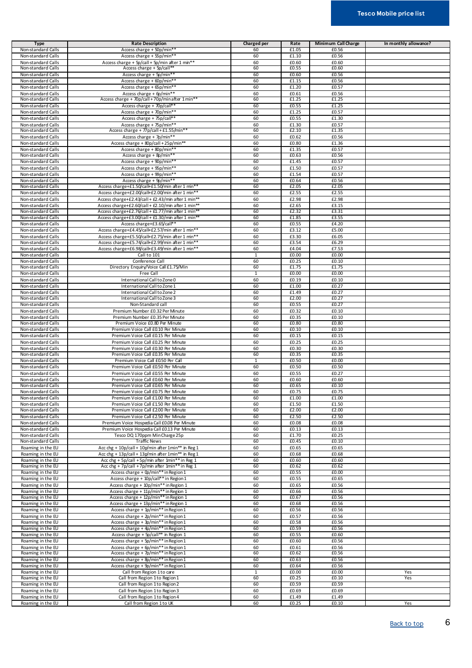| <b>Type</b>                              | <b>Rate Description</b>                            | <b>Charged per</b> | Rate           | Minimum Call Charge | In monthly allowance? |
|------------------------------------------|----------------------------------------------------|--------------------|----------------|---------------------|-----------------------|
| Non-standard Calls                       | Access charge + 50p/min**                          | 60                 | £1.05          | £0.56               |                       |
| Non-standard Calls                       | Access charge + 55p/min*                           | 60                 | £1.10          | £0.56               |                       |
| Non-standard Calls                       | Access charge + 5p/call + 5p/min after 1 min**     | 60                 | £0.60          | £0.60               |                       |
| Non-standard Calls                       | Access charge + 5p/call <sup>*</sup>               | 60                 | £0.55          | £0.60               |                       |
| Non-standard Calls                       | Access charge + 5p/min*                            | 60                 | £0.60          | £0.56               |                       |
| Non-standard Calls                       | Access charge + 60p/min**                          | 60                 | £1.15          | £0.56               |                       |
| Non-standard Calls                       | Access charge + 65p/min**                          | 60                 | £1.20          | £0.57               |                       |
| Non-standard Calls                       | Access charge + 6p/min**                           | 60                 | £0.61          | £0.56               |                       |
| Non-standard Calls                       | Access charge + 70p/call + 70p/min after 1 min**   | 60                 | £1.25          | £1.25               |                       |
| Non-standard Calls                       | Access charge + 70p/call*                          | 60                 | £0.55          | £1.25               |                       |
| Non-standard Calls                       | Access charge + 70p/min**                          | 60                 | £1.25          | £0.57               |                       |
| Non-standard Calls                       | Access charge + 75p/call**                         | 60                 | £0.55          | £1.30               |                       |
| Non-standard Calls                       | Access charge + 75p/min**                          | 60                 | £1.30          | £0.57               |                       |
| Non-standard Calls                       | Access charge + 77p/call + £1.55/min**             | 60                 | £2.10          | £1.35               |                       |
| Non-standard Calls                       | Access charge + 7p/min**                           | 60                 | £0.62          | £0.56               |                       |
| Non-standard Calls                       | Access charge + 80p/call + 25p/min**               | 60                 | £0.80          | £1.36               |                       |
| Non-standard Calls                       | Access charge + 80p/min*                           | 60                 | £1.35          | £0.57               |                       |
| Non-standard Calls                       | Access charge + 8p/min**                           | 60                 | £0.63          | £0.56               |                       |
| Non-standard Calls                       | Access charge + 90p/min*                           | 60                 | £1.45          | £0.57               |                       |
| Non-standard Calls                       | Access charge + 95p/min**                          | 60                 | £1.50          | £0.57               |                       |
| Non-standard Calls                       | Access charge + 99p/min**                          | 60                 | £1.54          | £0.57               |                       |
| Non-standard Calls                       | Access charge + 9p/min**                           | 60                 | £0.64          | £0.56               |                       |
| Non-standard Calls                       | Access charge+£1.50/call+£1.50/min after 1 min*    | 60                 | £2.05          | £2.05               |                       |
| Non-standard Calls                       | Access charge+£2.00/call+£2.00/min after 1 min**   | 60                 | £2.55          | £2.55               |                       |
| Non-standard Calls                       | Access charge+£2.43/call + £2.43/min after 1 min** | 60                 | £2.98          | £2.98               |                       |
|                                          | Access charge+£2.60/call + £2.10/min after 1 min** | 60                 | £2.65          | £3.15               |                       |
| Non-standard Calls<br>Non-standard Calls | Access charge+£2.76/call + £1.77/min after 1 min** | 60                 | £2.32          | £3.31               |                       |
| Non-standard Calls                       | Access charge+£3.00/call + £1.30/min after 1 min** | 60                 | £1.85          | £3.55               |                       |
|                                          |                                                    |                    |                |                     |                       |
| Non-standard Calls                       | Access charge+£3.65/call**                         | 60                 | £0.55          | £4.20               |                       |
| Non-standard Calls                       | Access charge+£4.45/call+£2.57/min after 1 min**   | 60                 | £3.12          | £5.00               |                       |
| Non-standard Calls                       | Access charge+£5.50/call+£2.75/min after 1 min**   | 60                 | £3.30          | £6.05               |                       |
| Non-standard Calls                       | Access charge+£5.74/call+£2.99/min after 1 min*    | 60                 | £3.54          | £6.29               |                       |
| Non-standard Calls                       | Access charge+£6.98/call+£3.49/min after 1 min**   | 60                 | £4.04          | £7.53               |                       |
| Non-standard Calls                       | Call to 101                                        | $\mathbf{1}$       | £0.00          | £0.00               |                       |
| Non-standard Calls                       | Conference Call                                    | 60                 | £0.25          | £0.10               |                       |
| Non-standard Calls                       | Directory Enquiry/Voice Call £1.75/Min             | 60                 | £1.75          | £1.75               |                       |
| Non-standard Calls                       | Free Call                                          | $\overline{1}$     | £0.00          | £0.00               |                       |
| Non-standard Calls                       | International Call to Zone 0                       | 60                 | £0.19          | £0.10               |                       |
| Non-standard Calls                       | International Call to Zone 1                       | 60                 | £1.00          | £0.27               |                       |
| Non-standard Calls                       | International Call to Zone 2                       | 60                 | £1.49          | £0.27               |                       |
| Non-standard Calls                       | International Call to Zone 3                       | 60                 | £2.00          | £0.27               |                       |
| Non-standard Calls                       | Non-Standard call                                  | 60                 | £0.55          | £0.27               |                       |
| Non-standard Calls                       | Premium Number £0.32 Per Minute                    | 60                 | £0.32          | £0.10               |                       |
| Non-standard Calls                       | Premium Number £0.35 Per Minute                    | 60                 | £0.35          | £0.10               |                       |
| Non-standard Calls                       | Premium Voice £0.80 Per Minute                     | 60                 | £0.80          | £0.80               |                       |
| Non-standard Calls                       | Premium Voice Call £0.10 Per Minute                | 60                 | £0.10          | £0.10               |                       |
| Non-standard Calls                       | Premium Voice Call £0.15 Per Minute                | 60                 | £0.15          | £0.15               |                       |
| Non-standard Calls                       | Premium Voice Call £0.25 Per Minute                | 60                 | £0.25          | £0.25               |                       |
| Non-standard Calls                       | Premium Voice Call £0.30 Per Minute                | 60                 | £0.30          | £0.30               |                       |
| Non-standard Calls                       | Premium Voice Call £0.35 Per Minute                | 60                 | £0.35          | £0.35               |                       |
| Non-standard Calls                       | Premium Voice Call £0.50 Per Call                  | 1                  | £0.50          | £0.00               |                       |
| Non-standard Calls                       | Premium Voice Call £0.50 Per Minute                | 60                 | £0.50          | £0.50               |                       |
| Non-standard Calls                       | Premium Voice Call £0.55 Per Minute                | 60                 | £0.55          | £0.27               |                       |
| Non-standard Calls                       | Premium Voice Call £0.60 Per Minute                | 60                 | £0.60          | £0.60               |                       |
| Non-standard Calls                       | Premium Voice Call £0.65 Per Minute                | 60                 | £0.65          | £0.10               |                       |
| Non-standard Calls                       |                                                    | 60                 | £0.75          | £0.75               |                       |
|                                          | Premium Voice Call £0.75 Per Minute                |                    |                |                     |                       |
| Non-standard Calls                       | Premium Voice Call £1.00 Per Minute                | 60                 | £1.00          | £1.00               |                       |
| Non-standard Calls                       | Premium Voice Call £150 Per Minute                 | 60                 | £1.50          | £1.50               |                       |
| Non-standard Calls                       | Premium Voice Call £2.00 Per Minute                | 60                 | £2.00          | £2.00               |                       |
| Non-standard Calls                       | Premium Voice Call £2.50 Per Minute                | 60                 | £2.50          | £2.50               |                       |
| Non-standard Calls                       | Premium Voice Hospedia Call £0.08 Per Minute       | 60                 | £0.08          | £0.08               |                       |
| Non-standard Calls                       | Premium Voice Hospedia Call £0.13 Per Minute       | 60                 | £0.13          | £0.13               |                       |
| Non-standard Calls                       | Tesco DQ 170ppm Min Charge 25p                     | 60                 | £1.70          | £0.25               |                       |
| Non-standard Calls                       | <b>Traffic News</b>                                | 60                 | £0.45          | £0.10               |                       |
| Roaming in the EU                        | Acc chg + 10p/call + 10p/min after 1min** in Reg 1 | 60                 | £0.65          | £0.65               |                       |
| Roaming in the EU                        | Acc chg + 13p/call + 13p/min after 1min** in Reg 1 | 60                 | £0.68          | £0.68               |                       |
| Roaming in the EU                        | Acc chg + 5p/call + 5p/min after 1min** in Reg 1   | 60                 | £0.60          | £0.60               |                       |
| Roaming in the EU                        | Acc chg + 7p/call + 7p/min after 1min** in Reg 1   | 60                 | £0.62          | £0.62               |                       |
| Roaming in the EU                        | Access charge + 0p/min** in Region 1               | 60                 | £0.55          | £0.00               |                       |
| Roaming in the EU                        | Access charge + 10p/call** in Region 1             | 60                 | £0.55          | £0.65               |                       |
| Roaming in the EU                        | Access charge + 10p/min** in Region 1              | 60                 | £0.65          | £0.56               |                       |
| Roaming in the EU                        | Access charge + 11p/min** in Region 1              | 60                 | £0.66          | £0.56               |                       |
| Roaming in the EU                        | Access charge + 12p/min** in Region 1              | 60                 | £0.67          | £0.56               |                       |
| Roaming in the EU                        | Access charge + 13p/min** in Region 1              | 60                 | £0.68          | £0.56               |                       |
| Roaming in the EU                        | Access charge + 1p/min** in Region 1               | 60                 | £0.56          | £0.56               |                       |
| Roaming in the EU                        | Access charge + 2p/min** in Region 1               | 60                 | £0.57          | £0.56               |                       |
| Roaming in the EU                        | Access charge + 3p/min** in Region 1               | 60                 | £0.58          | £0.56               |                       |
| Roaming in the EU                        | Access charge + 4p/min** in Region 1               | 60                 | £0.59          | £0.56               |                       |
| Roaming in the EU                        | Access charge + 5p/call** in Region 1              | 60                 | £0.55          | £0.60               |                       |
| Roaming in the EU                        | Access charge + 5p/min** in Region 1               | 60                 | £0.60          | £0.56               |                       |
| Roaming in the EU                        | Access charge + 6p/min** in Region 1               | 60                 | £0.61          | £0.56               |                       |
| Roaming in the EU                        | Access charge + 7p/min** in Region 1               | 60                 | £0.62          | £0.56               |                       |
| Roaming in the EU                        | Access charge + 8p/min** in Region 1               | 60                 | £0.63          | £0.56               |                       |
| Roaming in the EU                        | Access charge + 9p/min** in Region 1               | 60                 | £0.64          | £0.56               |                       |
|                                          |                                                    |                    |                |                     |                       |
| Roaming in the EU                        | Call from Region 1 to care                         | $\mathbf{1}$<br>60 | £0.00<br>£0.25 | £0.00<br>£0.10      | Yes                   |
| Roaming in the EU                        | Call from Region 1 to Region 1                     |                    |                |                     | Yes                   |
| Roaming in the EU                        | Call from Region 1 to Region 2                     | 60                 | £0.59          | £0.59               |                       |
| Roaming in the EU                        | Call from Region 1 to Region 3                     | 60                 | £0.69          | £0.69               |                       |
| Roaming in the EU                        | Call from Region 1 to Region 4                     | 60                 | £1.49          | £1.49               |                       |
| Roaming in the EU                        | Call from Region 1 to UK                           | 60                 | £0.25          | £0.10               | Yes                   |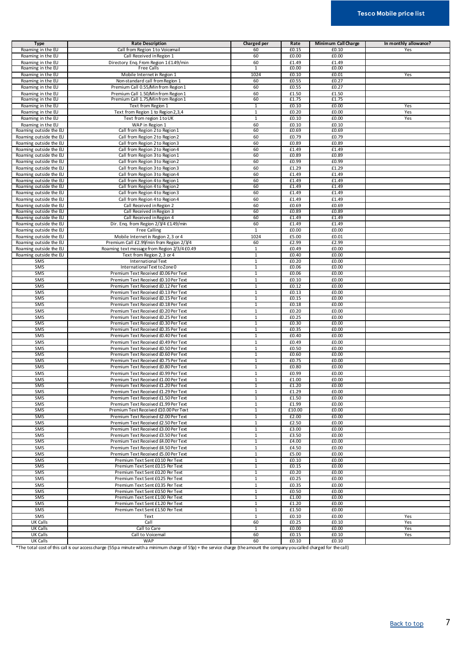| <b>Type</b>            | <b>Rate Description</b>                      | <b>Charged per</b> | Rate   | Minimum Call Charge | In monthly allowance? |
|------------------------|----------------------------------------------|--------------------|--------|---------------------|-----------------------|
| Roaming in the EU      | Call from Region 1 to Voicemail              | 60                 | £0.15  | £0.10               | Yes                   |
| Roaming in the EU      | Call Received in Region 1                    | 60                 | £0.00  | £0.00               |                       |
| Roaming in the EU      | Directory Eng. From Region 1 £1.49/min       | 60                 | £1.49  | £1.49               |                       |
| Roaming in the EU      | <b>Free Calls</b>                            | 1                  | £0.00  | £0.00               |                       |
| Roaming in the EU      | Mobile Internet in Region 1                  | 1024               | £0.10  | £0.01               | Yes                   |
| Roaming in the EU      | Non-standard call from Region 1              | 60                 | £0.55  | £0.27               |                       |
| Roaming in the EU      | Premium Call 0.55/Min from Region 1          | 60                 | £0.55  | £0.27               |                       |
| Roaming in the EU      | Premium Call 1.50/Min from Region 1          | 60                 | £1.50  | £1.50               |                       |
| Roaming in the EU      | Premium Call 1.75/Min from Region 1          | 60                 | £1.75  | £1.75               |                       |
| Roaming in the EU      | Text from Region 1                           | $\overline{1}$     | £0.10  | £0.00               | Yes                   |
|                        |                                              | $1\,$              | £0.20  | £0.00               | Yes                   |
| Roaming in the EU      | Text from Region 1 to Region 2,3,4           |                    |        |                     |                       |
| Roaming in the EU      | Text from region 1 to UK                     | $\mathbf{1}$       | £0.10  | £0.00               | Yes                   |
| Roaming in the EU      | WAP in Region 1                              | 60                 | £0.10  | £0.10               |                       |
| Roaming outside the EU | Call from Region 2 to Region 1               | 60                 | £0.69  | £0.69               |                       |
| Roaming outside the EU | Call from Region 2 to Region 2               | 60                 | £0.79  | £0.79               |                       |
| Roaming outside the EU | Call from Region 2 to Region 3               | 60                 | £0.89  | £0.89               |                       |
| Roaming outside the EU | Call from Region 2 to Region 4               | 60                 | £1.49  | £1.49               |                       |
| Roaming outside the EU | Call from Region 3 to Region 1               | 60                 | £0.89  | £0.89               |                       |
| Roaming outside the EU | Call from Region 3 to Region 2               | 60                 | £0.99  | £0.99               |                       |
| Roaming outside the EU | Call from Region 3 to Region 3               | 60                 | £1.29  | £1.29               |                       |
| Roaming outside the EU | Call from Region 3 to Region 4               | 60                 | £1.49  | £1.49               |                       |
| Roaming outside the EU | Call from Region 4 to Region 1               | 60                 | £1.49  | £1.49               |                       |
| Roaming outside the EU | Call from Region 4 to Region 2               | 60                 | £1.49  | £1.49               |                       |
| Roaming outside the EU | Call from Region 4 to Region 3               | 60                 | £1.49  | £1.49               |                       |
| Roaming outside the EU | Call from Region 4 to Region 4               | 60                 | £1.49  | £1.49               |                       |
| Roaming outside the EU | Call Received in Region 2                    | 60                 | £0.69  | £0.69               |                       |
| Roaming outside the EU | Call Received in Region 3                    | 60                 | £0.89  | £0.89               |                       |
| Roaming outside the EU | Call Received in Region 4                    | 60                 | £1.49  | £1.49               |                       |
| Roaming outside the EU | Dir. Enq. from Region 2/3/4 £149/min         | 60                 | £1.49  | £1.49               |                       |
| Roaming outside the EU | <b>Free Calling</b>                          | $\mathbf{1}$       | £0.00  | £0.00               |                       |
| Roaming outside the EU | Mobile Internet in Region 2, 3 or 4          | 1024               | £5.00  | £0.01               |                       |
| Roaming outside the EU | Premium Call £2.99/min from Region 2/3/4     | 60                 | £2.99  | £2.99               |                       |
| Roaming outside the EU |                                              | $\mathbf{1}$       | £0.49  | £0.00               |                       |
|                        | Roaming text message from Region 2/3/4 £0.49 |                    |        |                     |                       |
| Roaming outside the EU | Text from Region 2, 3 or 4                   | $\mathbf{1}$       | £0.40  | £0.00               |                       |
| SMS                    | International Text                           | $\mathbf{1}$       | £0.20  | £0.00               |                       |
| SMS                    | International Text to Zone 0                 | $1\,$              | £0.06  | £0.00               |                       |
| SMS                    | Premium Text Received £0.06 Per Text         | 1                  | £0.06  | £0.00               |                       |
| SMS                    | Premium Text Received £0.10 Per Text         | $1\,$              | £0.10  | £0.00               |                       |
| SMS                    | Premium Text Received £0.12 Per Text         | $1\,$              | £0.12  | £0.00               |                       |
| SMS                    | Premium Text Received £0.13 Per Text         | $\mathbf 1$        | £0.13  | £0.00               |                       |
| SMS                    | Premium Text Received £0.15 Per Text         | 1                  | £0.15  | £0.00               |                       |
| SMS                    | Premium Text Received £0.18 Per Text         | $\overline{1}$     | £0.18  | £0.00               |                       |
| SMS                    | Premium Text Received £0.20 Per Text         | $1\,$              | £0.20  | £0.00               |                       |
| SMS                    | Premium Text Received £0.25 Per Text         | $\mathbf{1}$       | £0.25  | £0.00               |                       |
| SMS                    | Premium Text Received £0.30 Per Text         | $\mathbf{1}$       | £0.30  | £0.00               |                       |
| SMS                    | Premium Text Received £0.35 Per Text         | 1                  | £0.35  | £0.00               |                       |
| SMS                    | Premium Text Received £0.40 Per Text         | $1\,$              | £0.40  | £0.00               |                       |
| SMS                    | Premium Text Received £0.49 Per Text         | $\mathbf{1}$       | £0.49  | £0.00               |                       |
| SMS                    | Premium Text Received £0.50 Per Text         | $\mathbf{1}$       | £0.50  | £0.00               |                       |
| SMS                    | Premium Text Received £0.60 Per Text         | 1                  | £0.60  | £0.00               |                       |
| SMS                    | Premium Text Received £0.75 Per Text         | $\mathbf{1}$       | £0.75  | £0.00               |                       |
| SMS                    | Premium Text Received £0.80 Per Text         | $1\,$              | £0.80  | £0.00               |                       |
| SMS                    | Premium Text Received £0.99 Per Text         | $\mathbf{1}$       | £0.99  | £0.00               |                       |
| SMS                    | Premium Text Received £1.00 Per Text         | $\mathbf{1}$       | £1.00  | £0.00               |                       |
| SMS                    | Premium Text Received £1.20 Per Text         | $\mathbf{1}$       | £1.20  | £0.00               |                       |
| SMS                    | Premium Text Received £1.29 Per Text         | $1\,$              | £1.29  | £0.00               |                       |
| SMS                    | Premium Text Received £1.50 Per Text         | $\mathbf{1}$       | £1.50  | £0.00               |                       |
| SMS                    | Premium Text Received £1.99 Per Text         | $1\,$              | £1.99  | £0.00               |                       |
| SMS                    | Premium Text Received £10.00 Per Text        | $\overline{1}$     | £10.00 | £0.00               |                       |
| SMS                    | Premium Text Received £2.00 Per Text         | $\mathbf{1}$       | £2.00  | £0.00               |                       |
| SMS                    | Premium Text Received £2.50 Per Text         | $\mathbf{1}$       | £2.50  | £0.00               |                       |
|                        |                                              |                    |        |                     |                       |
| SMS                    | Premium Text Received £3.00 Per Text         | $1\,$              | £3.00  | £0.00               |                       |
| SMS                    | Premium Text Received £3.50 Per Text         | $1\,$              | £3.50  | £0.00               |                       |
| SMS                    | Premium Text Received £4.00 Per Text         | $\mathbf{1}$       | £4.00  | £0.00               |                       |
| SMS                    | Premium Text Received £4.50 Per Text         | $\mathbf{1}$       | £4.50  | £0.00               |                       |
| SMS                    | Premium Text Received £5.00 Per Text         | $1\,$              | £5.00  | £0.00               |                       |
| SMS                    | Premium Text Sent £0.10 Per Text             | $\mathbf{1}$       | £0.10  | £0.00               |                       |
| SMS                    | Premium Text Sent £0.15 Per Text             | $\overline{1}$     | £0.15  | £0.00               |                       |
| SMS                    | Premium Text Sent £0.20 Per Text             | 1                  | £0.20  | £0.00               |                       |
| SMS                    | Premium Text Sent £0.25 Per Text             | $\mathbf{1}$       | £0.25  | £0.00               |                       |
| SMS                    | Premium Text Sent £0.35 Per Text             | $1\,$              | £0.35  | £0.00               |                       |
| SMS                    | Premium Text Sent £0.50 Per Text             | $\mathbf{1}$       | £0.50  | £0.00               |                       |
| SMS                    | Premium Text Sent £1.00 Per Text             | $1\,$              | £1.00  | £0.00               |                       |
| SMS                    | Premium Text Sent £1.20 Per Text             | $\mathbf{1}$       | £1.20  | £0.00               |                       |
| SMS                    | Premium Text Sent £1.50 Per Text             | $\mathbf{1}$       | £1.50  | £0.00               |                       |
| SMS                    | Text                                         | $1\,$              | £0.10  | £0.00               | Yes                   |
| <b>UK Calls</b>        | Call                                         | 60                 | £0.25  | £0.10               | Yes                   |
| <b>UK Calls</b>        | Call to Care                                 | 1                  | £0.00  | £0.00               | Yes                   |
| UK Calls               | Call to Voicemail                            | 60                 | £0.15  | £0.10               | Yes                   |
| UK Calls               | WAP                                          | 60                 | £0.10  | £0.10               |                       |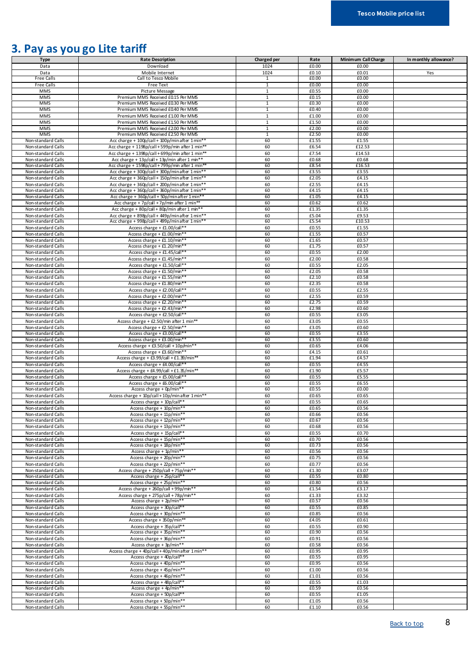## <span id="page-7-0"></span>**3. Pay as you go Lite tariff**

| <b>Type</b>        | <b>Rate Description</b>                          | Charged per    | Rate                | Minimum Call Charge | In monthly allowance? |
|--------------------|--------------------------------------------------|----------------|---------------------|---------------------|-----------------------|
|                    |                                                  |                |                     |                     |                       |
| Data               | Download                                         | 1024           | £0.00               | £0.00               |                       |
| Data               | Mobile Internet                                  | 1024           | £0.10               | £0.01               | Yes                   |
| <b>Free Calls</b>  | Call to Tesco Mobile                             | $\overline{1}$ | £0.00               | £0.00               |                       |
| Free Calls         |                                                  |                |                     |                     |                       |
|                    | <b>Free Text</b>                                 | $\overline{1}$ | £0.00               | £0.00               |                       |
| <b>MMS</b>         | Picture Message                                  | $\mathbf{1}$   | £0.55               | £0.00               |                       |
| <b>MMS</b>         | Premium MMS Received £0.15 Per MMS               | $\mathbf 1$    | £0.15               | £0.00               |                       |
| <b>MMS</b>         | Premium MMS Received £0.30 Per MMS               | $\overline{1}$ | £0.30               | £0.00               |                       |
|                    |                                                  |                |                     |                     |                       |
| <b>MMS</b>         | Premium MMS Received £0.40 Per MMS               | $\overline{1}$ | £0.40               | £0.00               |                       |
| <b>MMS</b>         | Premium MMS Received £100 Per MMS                | $\mathbf{1}$   | £1.00               | £0.00               |                       |
|                    |                                                  |                |                     |                     |                       |
| <b>MMS</b>         | Premium MMS Received £150 Per MMS                | $\mathbf{1}$   | £1.50               | £0.00               |                       |
| <b>MMS</b>         | Premium MMS Received £2.00 Per MMS               | $\mathbf{1}$   | £2.00               | £0.00               |                       |
| <b>MMS</b>         | Premium MMS Received £2.50 Per MMS               | $\overline{1}$ | £2.50               | £0.00               |                       |
|                    |                                                  |                |                     |                     |                       |
| Non-standard Calls | Acc charge + 100p/call + 100p/minafter 1 min**   | 60             | £1.55               | £1.55               |                       |
| Non-standard Calls | Acc charge + 1198p/call + 599p/min after 1 min** | 60             | £6.54               | £12.53              |                       |
| Non-standard Calls | Acc charge + 1398p/call + 699p/min after 1 min** | 60             | £7.54               | £14.53              |                       |
|                    | Acc charge + 13p/call + 13p/min after 1 min**    |                | £0.68               | £0.68               |                       |
| Non-standard Calls |                                                  | 60             |                     |                     |                       |
| Non-standard Calls | Acc charge + 1598p/call + 799p/min after 1 min** | 60             | £8.54               | £16.53              |                       |
| Non-standard Calls | Acc charge + 300p/call + 300p/min after 1 min**  | 60             | £3.55               | £3.55               |                       |
| Non-standard Calls | Acc charge + 360p/call + 150p/min after 1 min**  | 60             | £2.05               | £4.15               |                       |
|                    |                                                  |                |                     |                     |                       |
| Non-standard Calls | Acc charge + 360p/call + 200p/min after 1 min**  | 60             | £2.55               | £4.15               |                       |
| Non-standard Calls | Acc charge + 360p/call + 360p/min after 1 min*   | 60             | £4.15               | £4.15               |                       |
| Non-standard Calls | Acc charge + 360p/call + 50p/min after 1 min*    | 60             | £1.05               | £4.15               |                       |
|                    |                                                  |                |                     |                     |                       |
| Non-standard Calls | Acc charge + 7p/call + 7p/min after 1 min**      | 60             | £0.62               | £0.62               |                       |
| Non-standard Calls | Acc charge + 80p/call + 80p/min after 1 min**    | 60             | £1.35               | £1.35               |                       |
| Non-standard Calls | Acc charge + 898p/call + 449p/minafter 1 min**   | 60             | £5.04               | £9.53               |                       |
|                    |                                                  |                | £5.54               | £10.53              |                       |
| Non-standard Calls | Acc charge + 998p/call + 499p/minafter 1 min**   | 60             |                     |                     |                       |
| Non-standard Calls | Access charge + £1.00/call**                     | 60             | £0.55               | £1.55               |                       |
| Non-standard Calls | Access charge + £1.00/min**                      | 60             | £1.55               | £0.57               |                       |
|                    |                                                  | 60             | £1.65               | £0.57               |                       |
| Non-standard Calls | Access charge + £1.10/min**                      |                |                     |                     |                       |
| Non-standard Calls | Access charge + £1.20/min**                      | 60             | £1.75               | £0.57               |                       |
| Non-standard Calls | Access charge + £1.45/call**                     | 60             | £0.55               | £2.00               |                       |
| Non-standard Calls | Access charge + £1.45/min**                      | 60             | £2.00               | £0.58               |                       |
|                    |                                                  |                |                     |                     |                       |
| Non-standard Calls | Access charge + £1.50/call**                     | 60             | £0.55               | £2.05               |                       |
| Non-standard Calls | Access charge + £1.50/min**                      | 60             | £2.05               | £0.58               |                       |
| Non-standard Calls | Access charge + £1.55/min**                      | 60             | £2.10               | £0.58               |                       |
|                    |                                                  |                |                     |                     |                       |
| Non-standard Calls | Access charge + £1.80/min**                      | 60             | £2.35               | £0.58               |                       |
| Non-standard Calls | Access charge + £2.00/call**                     | 60             | £0.55               | £2.55               |                       |
| Non-standard Calls | Access charge + £2.00/min**                      | 60             | £2.55               | £0.59               |                       |
|                    |                                                  |                |                     |                     |                       |
| Non-standard Calls | Access charge + £2.20/min**                      | 60             | £2.75               | £0.59               |                       |
| Non-standard Calls | Access charge + £2.43/min**                      | 60             | £2.98               | £0.60               |                       |
| Non-standard Calls | Access charge + £2.50/call**                     | 60             | £0.55               | £3.05               |                       |
|                    |                                                  |                |                     |                     |                       |
| Non-standard Calls | Access charge + £2.50/min after 1 min**          | 60             | £3.05               | £0.55               |                       |
| Non-standard Calls | Access charge + £2.50/min**                      | 60             | £3.05               | £0.60               |                       |
| Non-standard Calls | Access charge + £3.00/call**                     | 60             | £0.55               | £3.55               |                       |
| Non-standard Calls | Access charge + £3.00/min**                      | 60             | £3.55               | £0.60               |                       |
|                    |                                                  |                |                     |                     |                       |
| Non-standard Calls | Access charge + £3.50/call + 10p/min**           | 60             | £0.65               | £4.06               |                       |
| Non-standard Calls | Access charge + £3.60/min**                      | 60             | £4.15               | £0.61               |                       |
| Non-standard Calls | Access charge + £3.99/call + £1.39/min**         | 60             | £1.94               | £4.57               |                       |
|                    |                                                  |                |                     |                     |                       |
| Non-standard Calls | Access charge + £4.00/call*                      | 60             | £0.55               | £4.55               |                       |
| Non-standard Calls | Access charge + £4.99/call + £1.35/min**         | 60             | £1.90               | £5.57               |                       |
| Non-standard Calls | Access charge + £5.00/call**                     | 60             | £0.55               | £5.55               |                       |
|                    |                                                  |                |                     |                     |                       |
| Non-standard Calls | Access charge + £6.00/call**                     | 60             | £0.55               | £6.55               |                       |
| Non-standard Calls | Access charge + 0p/min**                         | 60             | £0.55               | £0.00               |                       |
| Non-standard Calls | Access charge + 10p/call + 10p/min after 1 min** | 60             | £0.65               | £0.65               |                       |
| Non-standard Calls | Access charge + 10p/call**                       | 60             | £0.55               | £0.65               |                       |
|                    |                                                  |                |                     |                     |                       |
| Non-standard Calls | Access charge + 10p/min**                        | 60             | £0.65               | £0.56               |                       |
| Non-standard Calls | Access charge $+11p/min**$                       | 60             | £0.66               | £0.56               |                       |
| Non-standard Calls | Access charge + 12p/min**                        | 60             | £0.67               | £0.56               |                       |
|                    |                                                  |                |                     |                     |                       |
| Non-standard Calls | Access charge + 13p/min**                        | 60             | £0.68               | £0.56               |                       |
| Non-standard Calls | Access charge + 15p/call**                       | 60             | £0.55               | £0.70               |                       |
| Non-standard Calls | Access charge + 15p/min**                        | 60             | £0.70               | £0.56               |                       |
| Non-standard Calls | Access charge + 18p/min**                        | 60             | £0.73               | £0.56               |                       |
|                    |                                                  |                |                     |                     |                       |
| Non-standard Calls | Access charge + 1p/min**                         | 60             | £0.56               | £0.56               |                       |
| Non-standard Calls | Access charge + 20p/min**                        | 60             | £0.75               | £0.56               |                       |
| Non-standard Calls | Access charge + 22p/min**                        | 60             | £0.77               | £0.56               |                       |
|                    |                                                  |                |                     |                     |                       |
| Non-standard Calls | Access charge + 250p/call + 75p/min**            | 60             | £1.30               | £3.07               |                       |
| Non-standard Calls | Access charge + 25p/call**                       | 60             | £0.55               | £0.80               |                       |
| Non-standard Calls | Access charge + 25p/min**                        | 60             | £0.80               | £0.56               |                       |
| Non-standard Calls | Access charge + 260p/call + 99p/min**            | 60             | £1.54               | £3.17               |                       |
|                    |                                                  |                |                     |                     |                       |
| Non-standard Calls | Access charge + 275p/call + 78p/min**            | 60             | £1.33               | £3.32               |                       |
| Non-standard Calls | Access charge + 2p/min*'                         | 60             | £0.57               | £0.56               |                       |
| Non-standard Calls | Access charge + 30p/call**                       | 60             | £0.55               | £0.85               |                       |
| Non-standard Calls |                                                  | 60             | £0.85               | £0.56               |                       |
|                    | Access charge + 30p/min**                        |                |                     |                     |                       |
| Non-standard Calls | Access charge + 350p/min**                       | 60             | £4.05               | £0.61               |                       |
| Non-standard Calls | Access charge + 35p/call**                       | 60             | £0.55               | £0.90               |                       |
| Non-standard Calls | Access charge + 35p/min**                        | 60             | £0.90               | £0.56               |                       |
|                    |                                                  | 60             | £0.91               |                     |                       |
| Non-standard Calls | Access charge + 36p/min**                        |                |                     | £0.56               |                       |
| Non-standard Calls | Access charge + 3p/min**                         | 60             | £0.58               | £0.56               |                       |
| Non-standard Calls | Access charge + 40p/call + 40p/min after 1 min** | 60             | £0.95               | £0.95               |                       |
| Non-standard Calls | Access charge + 40p/call**                       | 60             | £0.55               | £0.95               |                       |
|                    |                                                  | 60             |                     |                     |                       |
| Non-standard Calls | Access charge + 40p/min**                        |                | £0.95               | £0.56               |                       |
| Non-standard Calls | Access charge + 45p/min**                        | 60             | $\overline{f}$ 1.00 | £0.56               |                       |
| Non-standard Calls | Access charge + 46p/min**                        | 60             | £1.01               | £0.56               |                       |
| Non-standard Calls | Access charge + 48p/call**                       | 60             | £0.55               | £1.03               |                       |
|                    |                                                  |                |                     |                     |                       |
| Non-standard Calls | Access charge + 4p/min**                         | 60             | £0.59               | £0.56               |                       |
| Non-standard Calls | Access charge + 50p/call**                       | 60             | £0.55               | £1.05               |                       |
| Non-standard Calls | Access charge + 50p/min**                        | 60             | £1.05               | £0.56               |                       |
|                    | Access charge + 55p/min**                        |                | £1.10               | £0.56               |                       |
| Non-standard Calls |                                                  | 60             |                     |                     |                       |

[Back to top](#page-0-0) 8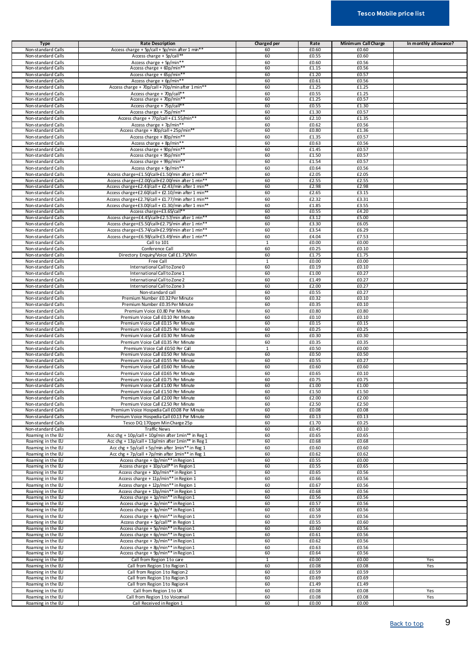| <b>Type</b>        | <b>Rate Description</b>                            | Charged per  | Rate  | Minimum Call Charge | In monthly allowance? |
|--------------------|----------------------------------------------------|--------------|-------|---------------------|-----------------------|
| Non-standard Calls | Access charge + 5p/call + 5p/min after 1 min*      | 60           | £0.60 | £0.60               |                       |
| Non-standard Calls | Access charge + 5p/call**                          | 60           | £0.55 | £0.60               |                       |
|                    |                                                    |              |       |                     |                       |
| Non-standard Calls | Access charge + 5p/min**                           | 60           | £0.60 | £0.56               |                       |
| Non-standard Calls | Access charge $+60p/min*$                          | 60           | £1.15 | £0.56               |                       |
| Non-standard Calls | Access charge + 65p/min*                           | 60           | £1.20 | £0.57               |                       |
| Non-standard Calls | Access charge + 6p/min**                           | 60           | £0.61 | £0.56               |                       |
| Non-standard Calls | Access charge + 70p/call + 70p/min after 1 min**   | 60           | £1.25 | £1.25               |                       |
| Non-standard Calls | Access charge + 70p/call**                         | 60           | £0.55 | £1.25               |                       |
| Non-standard Calls | Access charge + 70p/min*                           | 60           | £1.25 | £0.57               |                       |
| Non-standard Calls | Access charge + 75p/call*                          | 60           | £0.55 | £1.30               |                       |
|                    |                                                    |              |       |                     |                       |
| Non-standard Calls | Access charge + 75p/min**                          | 60           | £1.30 | £0.57               |                       |
| Non-standard Calls | Access charge + 77p/call + £1.55/min**             | 60           | £2.10 | £1.35               |                       |
| Non-standard Calls | Access charge + 7p/min**                           | 60           | £0.62 | £0.56               |                       |
| Non-standard Calls | Access charge + 80p/call + 25p/min**               | 60           | £0.80 | £1.36               |                       |
| Non-standard Calls | Access charge + 80p/min**                          | 60           | £1.35 | £0.57               |                       |
| Non-standard Calls | Access charge + 8p/min**                           | 60           | £0.63 | £0.56               |                       |
|                    |                                                    |              |       |                     |                       |
| Non-standard Calls | Access charge + 90p/min**                          | 60           | £1.45 | £0.57               |                       |
| Non-standard Calls | Access charge + 95p/min*                           | 60           | £1.50 | £0.57               |                       |
| Non-standard Calls | Access charge + 99p/min*                           | 60           | £1.54 | £0.57               |                       |
| Non-standard Calls | Access charge + 9p/min**                           | 60           | £0.64 | £0.56               |                       |
| Non-standard Calls | Access charge+£1.50/call+£1.50/min after 1 min**   | 60           | £2.05 | £2.05               |                       |
| Non-standard Calls | Access charge+£2.00/call+£2.00/min after 1 min**   | 60           | £2.55 | £2.55               |                       |
|                    |                                                    |              | £2.98 | £2.98               |                       |
| Non-standard Calls | Access charge+£2.43/call + £2.43/min after 1 min*  | 60           |       |                     |                       |
| Non-standard Calls | Access charge+£2.60/call + £2.10/min after 1 min** | 60           | £2.65 | £3.15               |                       |
| Non-standard Calls | Access charge+£2.76/call + £1.77/min after 1 min** | 60           | £2.32 | £3.31               |                       |
| Non-standard Calls | Access charge+£3.00/call + £1.30/min after 1 min** | 60           | £1.85 | £3.55               |                       |
| Non-standard Calls | Access charge+£3.65/call*                          | 60           | £0.55 | £4.20               |                       |
| Non-standard Calls | Access charge+£4.45/call+£2.57/min after 1 min**   | 60           | £3.12 | £5.00               |                       |
|                    |                                                    |              |       |                     |                       |
| Non-standard Calls | Access charge+£5.50/call+£2.75/min after 1 min**   | 60           | £3.30 | £6.05               |                       |
| Non-standard Calls | Access charge+£5.74/call+£2.99/min after 1 min**   | 60           | £3.54 | £6.29               |                       |
| Non-standard Calls | Access charge+£6.98/call+£3.49/min after 1 min**   | 60           | £4.04 | £7.53               |                       |
| Non-standard Calls | Call to 101                                        | 1            | £0.00 | £0.00               |                       |
| Non-standard Calls | Conference Call                                    | 60           | £0.25 | £0.10               |                       |
|                    |                                                    | 60           | £1.75 | £1.75               |                       |
| Non-standard Calls | Directory Enquiry/Voice Call £1.75/Min             |              |       |                     |                       |
| Non-standard Calls | Free Call                                          | $\mathbf{1}$ | £0.00 | £0.00               |                       |
| Non-standard Calls | International Call to Zone 0                       | 60           | £0.19 | £0.10               |                       |
| Non-standard Calls | International Call to Zone 1                       | 60           | £1.00 | £0.27               |                       |
| Non-standard Calls | International Call to Zone 2                       | 60           | £1.49 | £0.27               |                       |
| Non-standard Calls | International Call to Zone 3                       | 60           | £2.00 | £0.27               |                       |
|                    |                                                    |              |       |                     |                       |
| Non-standard Calls | Non-standard call                                  | 60           | £0.55 | £0.27               |                       |
| Non-standard Calls | Premium Number £0.32 Per Minute                    | 60           | £0.32 | £0.10               |                       |
| Non-standard Calls | Premium Number £0.35 Per Minute                    | 60           | £0.35 | £0.10               |                       |
| Non-standard Calls | Premium Voice £0.80 Per Minute                     | 60           | £0.80 | £0.80               |                       |
| Non-standard Calls | Premium Voice Call £0.10 Per Minute                | 60           | £0.10 | £0.10               |                       |
| Non-standard Calls | Premium Voice Call £0.15 Per Minute                | 60           | £0.15 | £0.15               |                       |
|                    |                                                    |              |       |                     |                       |
| Non-standard Calls | Premium Voice Call £0.25 Per Minute                | 60           | £0.25 | £0.25               |                       |
| Non-standard Calls | Premium Voice Call £0.30 Per Minute                | 60           | £0.30 | £0.30               |                       |
| Non-standard Calls | Premium Voice Call £0.35 Per Minute                | 60           | £0.35 | £0.35               |                       |
| Non-standard Calls | Premium Voice Call £0.50 Per Call                  | $\mathbf{1}$ | £0.50 | £0.00               |                       |
| Non-standard Calls | Premium Voice Call £0.50 Per Minute                | 60           | £0.50 | £0.50               |                       |
| Non-standard Calls |                                                    | 60           |       |                     |                       |
|                    | Premium Voice Call £0.55 Per Minute                |              | £0.55 | £0.27               |                       |
| Non-standard Calls | Premium Voice Call £0.60 Per Minute                | 60           | £0.60 | £0.60               |                       |
| Non-standard Calls | Premium Voice Call £0.65 Per Minute                | 60           | £0.65 | £0.10               |                       |
| Non-standard Calls | Premium Voice Call £0.75 Per Minute                | 60           | £0.75 | £0.75               |                       |
| Non-standard Calls | Premium Voice Call £1.00 Per Minute                | 60           | £1.00 | £1.00               |                       |
| Non-standard Calls | Premium Voice Call £150 Per Minute                 | 60           | £1.50 | £1.50               |                       |
|                    |                                                    |              |       |                     |                       |
| Non-standard Calls | Premium Voice Call £2.00 Per Minute                | 60           | £2.00 | £2.00               |                       |
| Non-standard Calls | Premium Voice Call £2.50 Per Minute                | 60           | £2.50 | £2.50               |                       |
| Non-standard Calls | Premium Voice Hospedia Call £0.08 Per Minute       | 60           | £0.08 | £0.08               |                       |
| Non-standard Calls | Premium Voice Hospedia Call £0.13 Per Minute       | 60           | £0.13 | £0.13               |                       |
| Non-standard Calls | Tesco DQ 170ppm Min Charge 25p                     | 60           | £1.70 | £0.25               |                       |
| Non-standard Calls | <b>Traffic News</b>                                | 60           | £0.45 | £0.10               |                       |
|                    |                                                    |              |       |                     |                       |
| Roaming in the EU  | Acc chg + 10p/call + 10p/min after 1min** in Reg 1 | 60           | £0.65 | £0.65               |                       |
| Roaming in the EU  | Acc chg + 13p/call + 13p/min after 1min** in Reg 1 | 60           | £0.68 | £0.68               |                       |
| Roaming in the EU  | Acc chg + 5p/call + 5p/min after 1min** in Reg 1   | 60           | £0.60 | £0.60               |                       |
| Roaming in the EU  | Acc chg + 7p/call + 7p/min after 1min** in Reg 1   | 60           | £0.62 | £0.62               |                       |
| Roaming in the EU  | Access charge + 0p/min** in Region 1               | 60           | £0.55 | £0.00               |                       |
| Roaming in the EU  | Access charge + 10p/call** in Region 1             | 60           | £0.55 | £0.65               |                       |
| Roaming in the EU  | Access charge + 10p/min** in Region 1              | 60           | £0.65 | £0.56               |                       |
| Roaming in the EU  | Access charge + 11p/min** in Region 1              | 60           | £0.66 | £0.56               |                       |
|                    |                                                    |              |       |                     |                       |
| Roaming in the EU  | Access charge + 12p/min** in Region 1              | 60           | £0.67 | £0.56               |                       |
| Roaming in the EU  | Access charge + 13p/min** in Region 1              | 60           | £0.68 | £0.56               |                       |
| Roaming in the EU  | Access charge + 1p/min** in Region 1               | 60           | £0.56 | £0.56               |                       |
| Roaming in the EU  | Access charge + 2p/min** in Region 1               | 60           | £0.57 | £0.56               |                       |
| Roaming in the EU  | Access charge + 3p/min** in Region 1               | 60           | £0.58 | £0.56               |                       |
| Roaming in the EU  | Access charge + 4p/min** in Region 1               | 60           | £0.59 | £0.56               |                       |
|                    |                                                    | 60           | £0.55 | £0.60               |                       |
| Roaming in the EU  | Access charge + 5p/call** in Region 1              |              |       |                     |                       |
| Roaming in the EU  | Access charge + 5p/min** in Region 1               | 60           | £0.60 | £0.56               |                       |
| Roaming in the EU  | Access charge + 6p/min** in Region 1               | 60           | £0.61 | £0.56               |                       |
| Roaming in the EU  | Access charge + 7p/min** in Region 1               | 60           | £0.62 | £0.56               |                       |
| Roaming in the EU  | Access charge + 8p/min** in Region 1               | 60           | £0.63 | £0.56               |                       |
| Roaming in the EU  | Access charge + 9p/min** in Region 1               | 60           | £0.64 | £0.56               |                       |
| Roaming in the EU  | Call from Region 1 to care                         | 1            | £0.00 | £0.00               | Yes                   |
|                    |                                                    |              |       |                     |                       |
| Roaming in the EU  | Call from Region 1 to Region 1                     | 60           | £0.08 | £0.08               | Yes                   |
| Roaming in the EU  | Call from Region 1 to Region 2                     | 60           | £0.59 | £0.59               |                       |
| Roaming in the EU  | Call from Region 1 to Region 3                     | 60           | £0.69 | £0.69               |                       |
| Roaming in the EU  | Call from Region 1 to Region 4                     | 60           | £1.49 | £1.49               |                       |
| Roaming in the EU  | Call from Region 1 to UK                           | 60           | £0.08 | £0.08               | Yes                   |
| Roaming in the EU  | Call from Region 1 to Voicemail                    | 60           | £0.08 | £0.08               | Yes                   |
|                    |                                                    |              |       |                     |                       |
| Roaming in the EU  | Call Received in Region 1                          | 60           | £0.00 | £0.00               |                       |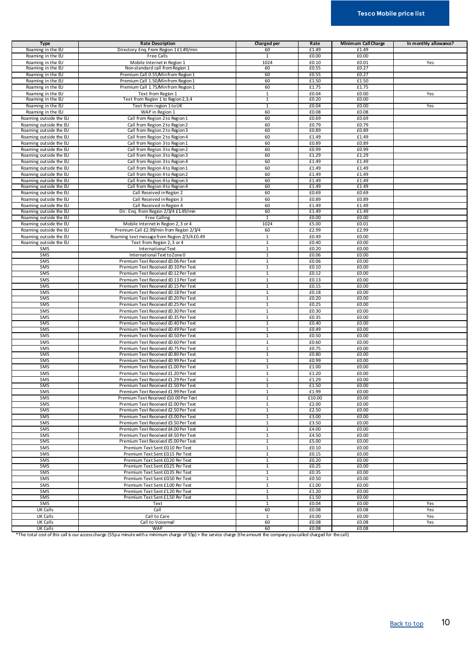| <b>Type</b>            | <b>Rate Description</b>                      | Charged per    | Rate   | Minimum Call Charge | In monthly allowance? |
|------------------------|----------------------------------------------|----------------|--------|---------------------|-----------------------|
|                        |                                              |                |        |                     |                       |
| Roaming in the EU      | Directory Enq. From Region 1 £1.49/min       | 60             | £1.49  | £1.49               |                       |
| Roaming in the EU      | Free Calls                                   | $\mathbf{1}$   | £0.00  | £0.00               |                       |
| Roaming in the EU      | Mobile Internet in Region 1                  | 1024           | £0.10  | £0.01               | Yes                   |
| Roaming in the EU      | Non-standard call from Region 1              | 60             | £0.55  | £0.27               |                       |
| Roaming in the EU      | Premium Call 0.55/Minfrom Region 1           | 60             | £0.55  | £0.27               |                       |
|                        |                                              |                |        |                     |                       |
| Roaming in the EU      | Premium Call 1.50/Minfrom Region 1           | 60             | £1.50  | £1.50               |                       |
| Roaming in the EU      | Premium Call 1.75/Minfrom Region 1           | 60             | £1.75  | £1.75               |                       |
| Roaming in the EU      | Text from Region 1                           | $\mathbf{1}$   | £0.04  | £0.00               | Yes                   |
| Roaming in the EU      | Text from Region 1 to Region 2,3,4           | $\mathbf{1}$   | £0.20  | £0.00               |                       |
| Roaming in the EU      | Text from region 1 to UK                     | 1              | £0.04  | £0.00               | Yes                   |
| Roaming in the EU      | WAP in Region 1                              | 60             | £0.08  | £0.08               |                       |
|                        |                                              |                |        |                     |                       |
| Roaming outside the EU | Call from Region 2 to Region 1               | 60             | £0.69  | £0.69               |                       |
| Roaming outside the EU | Call from Region 2 to Region 2               | 60             | £0.79  | £0.79               |                       |
| Roaming outside the EU | Call from Region 2 to Region 3               | 60             | £0.89  | £0.89               |                       |
| Roaming outside the EU | Call from Region 2 to Region 4               | 60             | £1.49  | £1.49               |                       |
| Roaming outside the EU | Call from Region 3 to Region 1               | 60             | £0.89  | £0.89               |                       |
| Roaming outside the EU | Call from Region 3 to Region 2               | 60             | £0.99  | £0.99               |                       |
| Roaming outside the EU | Call from Region 3 to Region 3               | 60             | £1.29  | £1.29               |                       |
| Roaming outside the EU | Call from Region 3 to Region 4               | 60             | £1.49  | £1.49               |                       |
|                        |                                              |                |        |                     |                       |
| Roaming outside the EU | Call from Region 4 to Region 1               | 60             | £1.49  | £1.49               |                       |
| Roaming outside the EU | Call from Region 4 to Region 2               | 60             | £1.49  | £1.49               |                       |
| Roaming outside the EU | Call from Region 4 to Region 3               | 60             | £1.49  | £1.49               |                       |
| Roaming outside the EU | Call from Region 4 to Region 4               | 60             | £1.49  | £1.49               |                       |
| Roaming outside the EU | Call Received in Region 2                    | 60             | £0.69  | £0.69               |                       |
| Roaming outside the EU | Call Received in Region 3                    | 60             | £0.89  | £0.89               |                       |
| Roaming outside the EU | Call Received in Region 4                    | 60             | £1.49  | £1.49               |                       |
|                        | Dir. Eng. from Region 2/3/4 £149/min         | 60             | £1.49  | £1.49               |                       |
| Roaming outside the EU |                                              |                |        |                     |                       |
| Roaming outside the EU | <b>Free Calling</b>                          | $\overline{1}$ | £0.00  | £0.00               |                       |
| Roaming outside the EU | Mobile Internet in Region 2, 3 or 4          | 1024           | £5.00  | £0.01               |                       |
| Roaming outside the EU | Premium Call £2.99/min from Region 2/3/4     | 60             | £2.99  | £2.99               |                       |
| Roaming outside the EU | Roaming text message from Region 2/3/4 £0.49 | $\mathbf{1}$   | £0.49  | £0.00               |                       |
| Roaming outside the EU | Text from Region 2, 3 or 4                   | $\overline{1}$ | £0.40  | £0.00               |                       |
| SMS                    | International Text                           | $\mathbf{1}$   | £0.20  | £0.00               |                       |
| SMS                    | International Text to Zone 0                 |                |        |                     |                       |
|                        |                                              | $\mathbf{1}$   | £0.06  | £0.00               |                       |
| SMS                    | Premium Text Received £0.06 Per Text         | 1              | £0.06  | £0.00               |                       |
| SMS                    | Premium Text Received £0.10 Per Text         | $\mathbf{1}$   | £0.10  | £0.00               |                       |
| SMS                    | Premium Text Received £0.12 Per Text         | 1              | £0.12  | £0.00               |                       |
| SMS                    | Premium Text Received £0.13 Per Text         | $\mathbf{1}$   | £0.13  | £0.00               |                       |
| SMS                    | Premium Text Received £0.15 Per Text         | $\mathbf{1}$   | £0.15  | £0.00               |                       |
| SMS                    | Premium Text Received £0.18 Per Text         | $\mathbf{1}$   | £0.18  | £0.00               |                       |
| SMS                    | Premium Text Received £0.20 Per Text         | $\overline{1}$ | £0.20  | £0.00               |                       |
|                        |                                              |                |        |                     |                       |
| SMS                    | Premium Text Received £0.25 Per Text         | $\overline{1}$ | £0.25  | £0.00               |                       |
| SMS                    | Premium Text Received £0.30 Per Text         | 1              | £0.30  | £0.00               |                       |
| SMS                    | Premium Text Received £0.35 Per Text         | $\mathbf{1}$   | £0.35  | £0.00               |                       |
| SMS                    | Premium Text Received £0.40 Per Text         | $\mathbf{1}$   | £0.40  | £0.00               |                       |
| SMS                    | Premium Text Received £0.49 Per Text         | $\mathbf{1}$   | £0.49  | £0.00               |                       |
| SMS                    | Premium Text Received £0.50 Per Text         | $\mathbf{1}$   | £0.50  | £0.00               |                       |
| SMS                    | Premium Text Received £0.60 Per Text         | $\mathbf{1}$   | £0.60  | £0.00               |                       |
|                        |                                              |                |        |                     |                       |
| SMS                    | Premium Text Received £0.75 Per Text         | $\mathbf{1}$   | £0.75  | £0.00               |                       |
| SMS                    | Premium Text Received £0.80 Per Text         | 1              | £0.80  | £0.00               |                       |
| SMS                    | Premium Text Received £0.99 Per Text         | $\overline{1}$ | £0.99  | £0.00               |                       |
| SMS                    | Premium Text Received £1.00 Per Text         | $\mathbf{1}$   | £1.00  | £0.00               |                       |
| SMS                    | Premium Text Received £1.20 Per Text         | $\mathbf{1}$   | £1.20  | £0.00               |                       |
| SMS                    | Premium Text Received £1.29 Per Text         | $\mathbf{1}$   | £1.29  | £0.00               |                       |
| SMS                    | Premium Text Received £1.50 Per Text         | $\mathbf{1}$   | £1.50  | £0.00               |                       |
| SMS                    | Premium Text Received £1.99 Per Text         | $\mathbf{1}$   | £1.99  | £0.00               |                       |
|                        |                                              |                |        |                     |                       |
| SMS                    | Premium Text Received £10.00 Per Text        | 1              | £10.00 | £0.00               |                       |
| SMS                    | Premium Text Received £2.00 Per Text         | $\mathbf{1}$   | £2.00  | £0.00               |                       |
| SMS                    | Premium Text Received £2.50 Per Text         | $\mathbf{1}$   | £2.50  | £0.00               |                       |
| SMS                    | Premium Text Received £3.00 Per Text         | $\mathbf{1}$   | £3.00  | £0.00               |                       |
| SMS                    | Premium Text Received £3.50 Per Text         | $\mathbf{1}$   | £3.50  | £0.00               |                       |
| SMS                    | Premium Text Received £4.00 Per Text         | $\mathbf{1}$   | £4.00  | £0.00               |                       |
| SMS                    | Premium Text Received £4.50 Per Text         | $\mathbf{1}$   | £4.50  | £0.00               |                       |
| SMS                    | Premium Text Received £5.00 Per Text         | $\mathbf{1}$   | £5.00  | £0.00               |                       |
| SMS                    | Premium Text Sent £0.10 Per Text             | $\mathbf{1}$   | £0.10  | £0.00               |                       |
| SMS                    | Premium Text Sent £0.15 Per Text             | $\mathbf{1}$   | £0.15  | £0.00               |                       |
|                        |                                              |                |        |                     |                       |
| SMS                    | Premium Text Sent £0.20 Per Text             | $\mathbf{1}$   | £0.20  | £0.00               |                       |
| SMS                    | Premium Text Sent £0.25 Per Text             | 1              | £0.25  | £0.00               |                       |
| SMS                    | Premium Text Sent £0.35 Per Text             | $\mathbf{1}$   | £0.35  | £0.00               |                       |
| SMS                    | Premium Text Sent £0.50 Per Text             | $\mathbf{1}$   | £0.50  | £0.00               |                       |
| SMS                    | Premium Text Sent £1.00 Per Text             | $\mathbf{1}$   | £1.00  | £0.00               |                       |
| SMS                    | Premium Text Sent £1.20 Per Text             | $\mathbf{1}$   | £1.20  | £0.00               |                       |
| SMS                    | Premium Text Sent £1.50 Per Text             | $\mathbf{1}$   | £1.50  | £0.00               |                       |
| SMS                    | Text                                         | $\mathbf{1}$   | £0.04  | £0.00               | Yes                   |
|                        |                                              |                |        |                     |                       |
| UK Calls               | Call                                         | 60             | £0.08  | £0.08               | Yes                   |
| UK Calls               | Call to Care                                 | $\mathbf{1}$   | £0.00  | £0.00               | Yes                   |
| <b>UK Calls</b>        | Call to Voicemail                            | 60             | £0.08  | £0.08               | Yes                   |
| <b>UK Calls</b>        | <b>WAP</b>                                   | 60             | £0.08  | £0.08               |                       |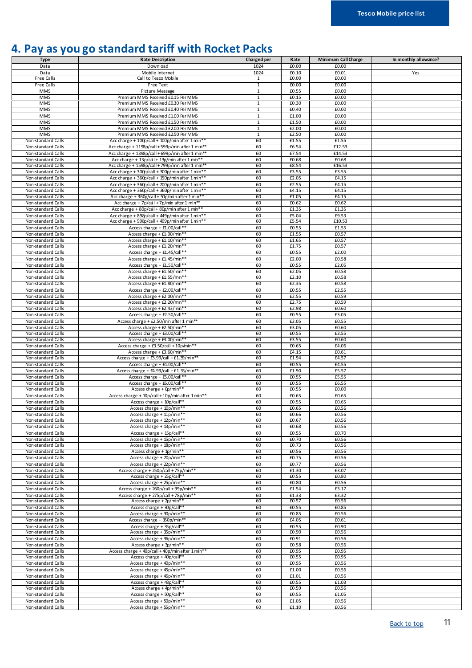### <span id="page-10-0"></span>**4. Pay as you go standard tariff with Rocket Packs**

| <b>Type</b>                              | <b>Rate Description</b>                                                 | Charged per                    | Rate           | Minimum Call Charge | In monthly allowance? |
|------------------------------------------|-------------------------------------------------------------------------|--------------------------------|----------------|---------------------|-----------------------|
| Data                                     | Download                                                                | 1024                           | £0.00          | £0.00               |                       |
| Data                                     | Mobile Internet                                                         | 1024                           | £0.10          | £0.01               | Yes                   |
| Free Calls                               | Call to Tesco Mobile                                                    | 1                              | £0.00          | £0.00               |                       |
| <b>Free Calls</b>                        | Free Text                                                               | $\overline{1}$                 | £0.00          | £0.00               |                       |
| MMS                                      | Picture Message                                                         | $\mathbf{1}$                   | £0.55          | £0.00               |                       |
| MMS                                      | Premium MMS Received £0.15 Per MMS                                      | $\mathbf{1}$                   | £0.15          | £0.00               |                       |
| <b>MMS</b>                               | Premium MMS Received £0.30 Per MMS                                      | $\mathbf{1}$                   | £0.30          | £0.00               |                       |
| <b>MMS</b>                               | Premium MMS Received £0.40 Per MMS                                      | $\overline{1}$                 | £0.40          | £0.00               |                       |
| <b>MMS</b>                               | Premium MMS Received £100 Per MMS                                       | $\mathbf{1}$                   | £1.00          | £0.00               |                       |
| <b>MMS</b>                               | Premium MMS Received £150 Per MMS                                       | $\mathbf{1}$                   | £1.50          | £0.00               |                       |
| MMS<br>MMS                               | Premium MMS Received £200 Per MMS<br>Premium MMS Received £2.50 Per MMS | $\mathbf{1}$<br>$\overline{1}$ | £2.00<br>£2.50 | £0.00<br>£0.00      |                       |
| Non-standard Calls                       | Acc charge + 100p/call + 100p/min after 1 min**                         | 60                             | £1.55          | £1.55               |                       |
| Non-standard Calls                       | Acc charge + 1198p/call + 599p/min after 1 min**                        | 60                             | £6.54          | £12.53              |                       |
| Non-standard Calls                       | Acc charge + 1398p/call + 699p/min after 1 min**                        | 60                             | £7.54          | £14.53              |                       |
| Non-standard Calls                       | Acc charge + 13p/call + 13p/min after 1 min**                           | 60                             | £0.68          | £0.68               |                       |
| Non-standard Calls                       | Acc charge + 1598p/call + 799p/min after 1 min**                        | 60                             | £8.54          | £16.53              |                       |
| Non-standard Calls                       | Acc charge + 300p/call + 300p/min after 1 min**                         | 60                             | £3.55          | £3.55               |                       |
| Non-standard Calls                       | Acc charge + 360p/call + 150p/min after 1 min**                         | 60                             | £2.05          | £4.15               |                       |
| Non-standard Calls                       | Acc charge + 360p/call + 200p/min after 1 min**                         | 60                             | £2.55          | £4.15               |                       |
| Non-standard Calls                       | Acc charge + 360p/call + 360p/min after 1 min*                          | 60                             | £4.15          | £4.15               |                       |
| Non-standard Calls                       | Acc charge + 360p/call + 50p/min after 1 min**                          | 60                             | £1.05          | £4.15               |                       |
| Non-standard Calls                       | Acc charge + 7p/call + 7p/min after 1 min**                             | 60                             | £0.62          | £0.62               |                       |
| Non-standard Calls                       | Acc charge + 80p/call + 80p/min after 1 min**                           | 60                             | £1.35          | £1.35               |                       |
| Non-standard Calls                       | Acc charge + 898p/call + 449p/min after 1 min**                         | 60                             | £5.04          | £9.53               |                       |
| Non-standard Calls                       | Acc charge + 998p/call + 499p/min after 1 min**                         | 60                             | £5.54          | £10.53              |                       |
| Non-standard Calls                       | Access charge + £1.00/call**                                            | 60                             | £0.55          | £1.55               |                       |
| Non-standard Calls                       | Access charge + £1.00/min**                                             | 60                             | £1.55          | £0.57               |                       |
| Non-standard Calls                       | Access charge + £1.10/min**                                             | 60                             | £1.65          | £0.57               |                       |
| Non-standard Calls                       | Access charge + £1.20/min**                                             | 60                             | £1.75          | £0.57               |                       |
| Non-standard Calls                       | Access charge + £1.45/call**                                            | 60                             | £0.55          | £2.00               |                       |
| Non-standard Calls                       | Access charge + £1.45/min**                                             | 60                             | £2.00          | £0.58               |                       |
| Non-standard Calls                       | Access charge + £1.50/call**                                            | 60                             | £0.55          | £2.05               |                       |
| Non-standard Calls                       | Access charge + £1.50/min**                                             | 60                             | £2.05          | £0.58               |                       |
| Non-standard Calls                       | Access charge + £1.55/min*                                              | 60                             | £2.10          | £0.58               |                       |
| Non-standard Calls                       | Access charge + £1.80/min*                                              | 60                             | £2.35          | £0.58               |                       |
| Non-standard Calls                       | Access charge + £2.00/call**                                            | 60                             | £0.55          | £2.55               |                       |
| Non-standard Calls                       | Access charge + £2.00/min**                                             | 60                             | £2.55          | £0.59               |                       |
| Non-standard Calls                       | Access charge + £2.20/min**                                             | 60                             | £2.75          | £0.59               |                       |
| Non-standard Calls                       | Access charge + £2.43/min**                                             | 60                             | £2.98          | £0.60               |                       |
| Non-standard Calls                       | Access charge + £2.50/call**                                            | 60                             | £0.55          | £3.05               |                       |
| Non-standard Calls                       | Access charge + £2.50/min after 1 min**                                 | 60                             | £3.05          | £0.55               |                       |
| Non-standard Calls                       | Access charge + £2.50/min**                                             | 60                             | £3.05          | £0.60               |                       |
| Non-standard Calls                       | Access charge + £3.00/call*                                             | 60<br>60                       | £0.55<br>£3.55 | £3.55<br>£0.60      |                       |
| Non-standard Calls<br>Non-standard Calls | Access charge + £3.00/min**<br>Access charge + £3.50/call + 10p/min**   | 60                             | £0.65          | £4.06               |                       |
| Non-standard Calls                       | Access charge + £3.60/min**                                             | 60                             | £4.15          | £0.61               |                       |
| Non-standard Calls                       | Access charge + £3.99/call + £1.39/min**                                | 60                             | £1.94          | £4.57               |                       |
| Non-standard Calls                       | Access charge + £4.00/call**                                            | 60                             | £0.55          | £4.55               |                       |
| Non-standard Calls                       | Access charge + £4.99/call + £1.35/min**                                | 60                             | £1.90          | £5.57               |                       |
| Non-standard Calls                       | Access charge + £5.00/call**                                            | 60                             | £0.55          | £5.55               |                       |
| Non-standard Calls                       | Access charge + £6.00/call**                                            | 60                             | £0.55          | £6.55               |                       |
| Non-standard Calls                       | Access charge + $Op/min**$                                              | 60                             | £0.55          | £0.00               |                       |
| Non-standard Calls                       | Access charge + 10p/call + 10p/min after 1 min**                        | 60                             | £0.65          | £0.65               |                       |
| Non-standard Calls                       | Access charge + 10p/call**                                              | 60                             | £0.55          | £0.65               |                       |
| Non-standard Calls                       | Access charge + 10p/min**                                               | 60                             | £0.65          | £0.56               |                       |
| Non-standard Calls                       | Access charge + 11p/min**                                               | 60                             | £0.66          | £0.56               |                       |
| Non-standard Calls                       | Access charge + 12p/min**                                               | 60                             | £0.67          | £0.56               |                       |
| Non-standard Calls                       | Access charge + 13p/min**                                               | 60                             | £0.68          | £0.56               |                       |
| Non-standard Calls                       | Access charge + 15p/call**                                              | 60                             | £0.55          | £0.70               |                       |
| Non-standard Calls                       | Access charge + 15p/min**                                               | 60                             | £0.70          | £0.56               |                       |
| Non-standard Calls                       | Access charge + 18p/min**                                               | 60                             | £0.73          | £0.56               |                       |
| Non-standard Calls                       | Access charge + $1p/min**$                                              | 60                             | £0.56          | £0.56               |                       |
| Non-standard Calls                       | Access charge + 20p/min**                                               | 60                             | £0.75          | £0.56               |                       |
| Non-standard Calls                       | Access charge + 22p/min**                                               | 60                             | £0.77          | £0.56               |                       |
| Non-standard Calls                       | Access charge + 250p/call + 75p/min**                                   | 60                             | £1.30          | £3.07               |                       |
| Non-standard Calls                       | Access charge + 25p/call**                                              | 60                             | £0.55          | £0.80               |                       |
| Non-standard Calls                       | Access charge + 25p/min**                                               | 60                             | £0.80          | £0.56               |                       |
| Non-standard Calls                       | Access charge + 260p/call + 99p/min**                                   | 60                             | £1.54          | £3.17               |                       |
| Non-standard Calls<br>Non-standard Calls | Access charge + 275p/call +78p/min**<br>Access charge + 2p/min*'        | 60<br>60                       | £1.33<br>£0.57 | £3.32<br>£0.56      |                       |
| Non-standard Calls                       | Access charge + 30p/call**                                              | 60                             | £0.55          | £0.85               |                       |
| Non-standard Calls                       | Access charge + 30p/min**                                               | 60                             | £0.85          | £0.56               |                       |
| Non-standard Calls                       | Access charge + 350p/min**                                              | 60                             | £4.05          | £0.61               |                       |
| Non-standard Calls                       | Access charge + 35p/call**                                              | 60                             | £0.55          | £0.90               |                       |
| Non-standard Calls                       | Access charge + 35p/min**                                               | 60                             | £0.90          | £0.56               |                       |
| Non-standard Calls                       | Access charge + 36p/min**                                               | 60                             | £0.91          | £0.56               |                       |
| Non-standard Calls                       | Access charge + 3p/min**                                                | 60                             | £0.58          | £0.56               |                       |
| Non-standard Calls                       | Access charge + 40p/call + 40p/min after 1 min**                        | 60                             | £0.95          | £0.95               |                       |
| Non-standard Calls                       | Access charge + 40p/call**                                              | 60                             | £0.55          | £0.95               |                       |
| Non-standard Calls                       | Access charge + 40p/min**                                               | 60                             | £0.95          | £0.56               |                       |
| Non-standard Calls                       | Access charge + 45p/min**                                               | 60                             | £1.00          | £0.56               |                       |
| Non-standard Calls                       | Access charge + 46p/min**                                               | 60                             | £1.01          | £0.56               |                       |
| Non-standard Calls                       | Access charge + 48p/call**                                              | 60                             | £0.55          | £1.03               |                       |
| Non-standard Calls                       | Access charge + 4p/min**                                                | 60                             | £0.59          | £0.56               |                       |
| Non-standard Calls                       | Access charge + 50p/call**                                              | 60                             | £0.55          | £1.05               |                       |
| Non-standard Calls                       | Access charge + 50p/min**                                               | 60                             | £1.05          | £0.56               |                       |
| Non-standard Calls                       | Access charge + 55p/min**                                               | 60                             | £1.10          | £0.56               |                       |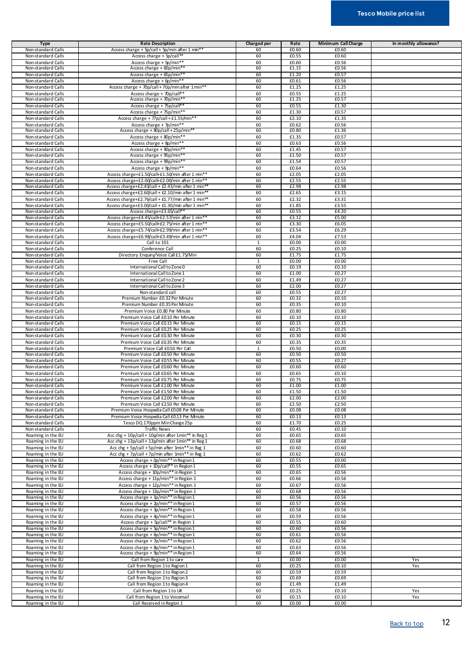| <b>Type</b>        | <b>Rate Description</b>                            | Charged per  | Rate     | Minimum Call Charge | In monthly allowance? |
|--------------------|----------------------------------------------------|--------------|----------|---------------------|-----------------------|
| Non-standard Calls | Access charge + 5p/call + 5p/min after 1 min**     | 60           | £0.60    | £0.60               |                       |
| Non-standard Calls | Access charge + 5p/call**                          | 60           | £0.55    | £0.60               |                       |
| Non-standard Calls | Access charge + 5p/min**                           | 60           | £0.60    | £0.56               |                       |
| Non-standard Calls | Access charge $+60p/min**$                         | 60           | £1.15    | £0.56               |                       |
| Non-standard Calls | Access charge + 65p/min*                           | 60           | £1.20    | £0.57               |                       |
| Non-standard Calls | Access charge + 6p/min**                           | 60           | £0.61    | £0.56               |                       |
| Non-standard Calls | Access charge + 70p/call + 70p/min after 1 min**   | 60           | £1.25    | £1.25               |                       |
|                    |                                                    |              |          |                     |                       |
| Non-standard Calls | Access charge + 70p/call**                         | 60           | £0.55    | £1.25               |                       |
| Non-standard Calls | Access charge + 70p/min*                           | 60           | £1.25    | £0.57               |                       |
| Non-standard Calls | Access charge + 75p/call**                         | 60           | £0.55    | £1.30               |                       |
| Non-standard Calls | Access charge + 75p/min**                          | 60           | £1.30    | £0.57               |                       |
| Non-standard Calls | Access charge + 77p/call + £1.55/min**             | 60           | £2.10    | £1.35               |                       |
| Non-standard Calls | Access charge + 7p/min**                           | 60           | £0.62    | £0.56               |                       |
| Non-standard Calls | Access charge + 80p/call + 25p/min**               | 60           | £0.80    | £1.36               |                       |
| Non-standard Calls | Access charge + 80p/min**                          | 60           | £1.35    | £0.57               |                       |
|                    |                                                    |              |          |                     |                       |
| Non-standard Calls | Access charge + 8p/min**                           | 60           | £0.63    | £0.56               |                       |
| Non-standard Calls | Access charge + 90p/min**                          | 60           | £1.45    | £0.57               |                       |
| Non-standard Calls | Access charge + 95p/min**                          | 60           | £1.50    | £0.57               |                       |
| Non-standard Calls | Access charge + 99p/min**                          | 60           | £1.54    | £0.57               |                       |
| Non-standard Calls | Access charge + 9p/min**                           | 60           | £0.64    | £0.56               |                       |
| Non-standard Calls | Access charge+£1.50/call+£1.50/min after 1 min**   | 60           | £2.05    | £2.05               |                       |
| Non-standard Calls | Access charge+£2.00/call+£2.00/min after 1 min**   | 60           | £2.55    | £2.55               |                       |
| Non-standard Calls | Access charge+£2.43/call + £2.43/min after 1 min** | 60           | £2.98    | £2.98               |                       |
| Non-standard Calls | Access charge+£2.60/call + £2.10/min after 1 min** | 60           | £2.65    | £3.15               |                       |
|                    |                                                    |              |          |                     |                       |
| Non-standard Calls | Access charge+£2.76/call + £1.77/min after 1 min** | 60           | £2.32    | £3.31               |                       |
| Non-standard Calls | Access charge+£3.00/call + £1.30/min after 1 min** | 60           | £1.85    | £3.55               |                       |
| Non-standard Calls | Access charge+£3.65/call*                          | 60           | £0.55    | £4.20               |                       |
| Non-standard Calls | Access charge+£4.45/call+£2.57/min after 1 min**   | 60           | £3.12    | £5.00               |                       |
| Non-standard Calls | Access charge+£5.50/call+£2.75/min after 1 min**   | 60           | £3.30    | £6.05               |                       |
| Non-standard Calls | Access charge+£5.74/call+£2.99/min after 1 min**   | 60           | £3.54    | £6.29               |                       |
| Non-standard Calls | Access charge+£6.98/call+£3.49/min after 1 min**   | 60           | £4.04    | £7.53               |                       |
| Non-standard Calls | Call to 101                                        | 1            | £0.00    | £0.00               |                       |
|                    |                                                    |              |          |                     |                       |
| Non-standard Calls | Conference Call                                    | 60           | £0.25    | £0.10               |                       |
| Non-standard Calls | Directory Enquiry/Voice Call £1.75/Min             | 60           | £1.75    | £1.75               |                       |
| Non-standard Calls | Free Call                                          | $\mathbf{1}$ | £0.00    | £0.00               |                       |
| Non-standard Calls | International Call to Zone 0                       | 60           | £0.19    | £0.10               |                       |
| Non-standard Calls | International Call to Zone 1                       | 60           | £1.00    | £0.27               |                       |
| Non-standard Calls | International Call to Zone 2                       | 60           | £1.49    | £0.27               |                       |
| Non-standard Calls | International Call to Zone 3                       | 60           | £2.00    | £0.27               |                       |
| Non-standard Calls | Non-standard call                                  | 60           | £0.55    | £0.27               |                       |
| Non-standard Calls | Premium Number £0.32 Per Minute                    | 60           | £0.32    | £0.10               |                       |
|                    |                                                    |              |          |                     |                       |
| Non-standard Calls | Premium Number £0.35 Per Minute                    | 60           | £0.35    | £0.10               |                       |
| Non-standard Calls | Premium Voice £0.80 Per Minute                     | 60           | £0.80    | £0.80               |                       |
| Non-standard Calls | Premium Voice Call £0.10 Per Minute                | 60           | £0.10    | £0.10               |                       |
| Non-standard Calls | Premium Voice Call £0.15 Per Minute                | 60           | £0.15    | £0.15               |                       |
| Non-standard Calls | Premium Voice Call £0.25 Per Minute                | 60           | £0.25    | £0.25               |                       |
| Non-standard Calls | Premium Voice Call £0.30 Per Minute                | 60           | £0.30    | £0.30               |                       |
| Non-standard Calls | Premium Voice Call £0.35 Per Minute                | 60           | £0.35    | £0.35               |                       |
|                    | Premium Voice Call £0.50 Per Call                  |              |          |                     |                       |
| Non-standard Calls |                                                    | $\mathbf{1}$ | $E$ 0.50 | £0.00               |                       |
| Non-standard Calls | Premium Voice Call £0.50 Per Minute                | 60           | £0.50    | £0.50               |                       |
| Non-standard Calls | Premium Voice Call £0.55 Per Minute                | 60           | £0.55    | £0.27               |                       |
| Non-standard Calls | Premium Voice Call £0.60 Per Minute                | 60           | £0.60    | £0.60               |                       |
| Non-standard Calls | Premium Voice Call £0.65 Per Minute                | 60           | £0.65    | £0.10               |                       |
| Non-standard Calls | Premium Voice Call £0.75 Per Minute                | 60           | £0.75    | £0.75               |                       |
| Non-standard Calls | Premium Voice Call £1.00 Per Minute                | 60           | £1.00    | £1.00               |                       |
| Non-standard Calls | Premium Voice Call £150 Per Minute                 | 60           | £1.50    | £1.50               |                       |
|                    |                                                    | 60           | £2.00    | £2.00               |                       |
| Non-standard Calls | Premium Voice Call £2.00 Per Minute                |              |          |                     |                       |
| Non-standard Calls | Premium Voice Call £250 Per Minute                 | 60           | £2.50    | £2.50               |                       |
| Non-standard Calls | Premium Voice Hospedia Call £0.08 Per Minute       | 60           | £0.08    | £0.08               |                       |
| Non-standard Calls | Premium Voice Hospedia Call £0.13 Per Minute       | 60           | £0.13    | £0.13               |                       |
| Non-standard Calls | Tesco DQ 170ppm Min Charge 25p                     | 60           | £1.70    | £0.25               |                       |
| Non-standard Calls | <b>Traffic News</b>                                | 60           | £0.45    | $E$ <sub>0.10</sub> |                       |
| Roaming in the EU  | Acc chg + 10p/call + 10p/min after 1min** in Reg 1 | 60           | £0.65    | £0.65               |                       |
| Roaming in the EU  | Acc chg + 13p/call + 13p/min after 1min** in Reg 1 | 60           | £0.68    | £0.68               |                       |
| Roaming in the EU  | Acc chg + 5p/call + 5p/min after 1min** in Reg 1   | 60           | £0.60    | £0.60               |                       |
|                    |                                                    |              |          |                     |                       |
| Roaming in the EU  | Acc chg + 7p/call + 7p/min after 1min** in Reg 1   | 60           | £0.62    | £0.62               |                       |
| Roaming in the EU  | Access charge + 0p/min** in Region 1               | 60           | £0.55    | £0.00               |                       |
| Roaming in the EU  | Access charge + 10p/call** in Region 1             | 60           | £0.55    | £0.65               |                       |
| Roaming in the EU  | Access charge + 10p/min** in Region 1              | 60           | £0.65    | £0.56               |                       |
| Roaming in the EU  | Access charge + 11p/min** in Region 1              | 60           | £0.66    | £0.56               |                       |
| Roaming in the EU  | Access charge + 12p/min** in Region 1              | 60           | £0.67    | £0.56               |                       |
| Roaming in the EU  | Access charge + 13p/min** in Region 1              | 60           | £0.68    | £0.56               |                       |
| Roaming in the EU  | Access charge + 1p/min** in Region 1               | 60           | £0.56    | £0.56               |                       |
| Roaming in the EU  | Access charge + 2p/min** in Region 1               | 60           | £0.57    | £0.56               |                       |
| Roaming in the EU  | Access charge + 3p/min** in Region 1               | 60           | £0.58    | £0.56               |                       |
|                    |                                                    |              | £0.59    |                     |                       |
| Roaming in the EU  | Access charge + 4p/min** in Region 1               | 60           |          | £0.56               |                       |
| Roaming in the EU  | Access charge + 5p/call** in Region 1              | 60           | £0.55    | £0.60               |                       |
| Roaming in the EU  | Access charge + 5p/min** in Region 1               | 60           | £0.60    | £0.56               |                       |
| Roaming in the EU  | Access charge + 6p/min** in Region 1               | 60           | £0.61    | £0.56               |                       |
| Roaming in the EU  | Access charge + 7p/min** in Region 1               | 60           | £0.62    | £0.56               |                       |
| Roaming in the EU  | Access charge + 8p/min** in Region 1               | 60           | £0.63    | £0.56               |                       |
| Roaming in the EU  | Access charge + 9p/min** in Region 1               | 60           | £0.64    | £0.56               |                       |
| Roaming in the EU  | Call from Region 1 to care                         | 1            | £0.00    | £0.00               | Yes                   |
| Roaming in the EU  | Call from Region 1 to Region 1                     | 60           | £0.25    | £0.10               | Yes                   |
|                    |                                                    | 60           | £0.59    | £0.59               |                       |
| Roaming in the EU  | Call from Region 1 to Region 2                     |              |          |                     |                       |
| Roaming in the EU  | Call from Region 1 to Region 3                     | 60           | £0.69    | £0.69               |                       |
| Roaming in the EU  | Call from Region 1 to Region 4                     | 60           | £1.49    | £1.49               |                       |
| Roaming in the EU  | Call from Region 1 to UK                           | 60           | £0.25    | £0.10               | Yes                   |
| Roaming in the EU  | Call from Region 1 to Voicemail                    | 60           | £0.15    | £0.10               | Yes                   |
| Roaming in the EU  | Call Received in Region 1                          | 60           | £0.00    | £0.00               |                       |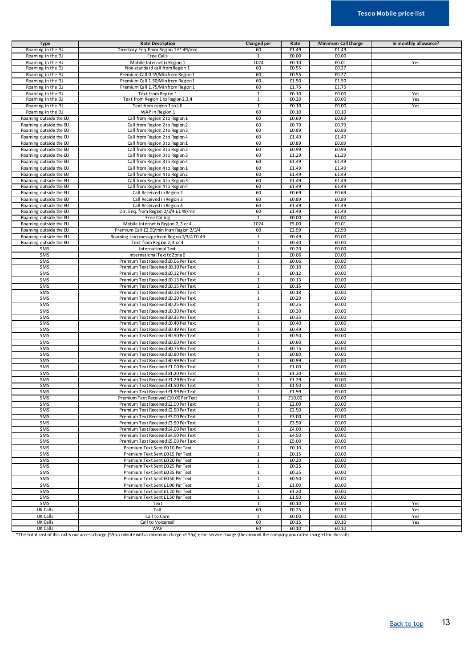| <b>Type</b>            | <b>Rate Description</b>                      | Charged per    | Rate    | Minimum Call Charge | In monthly allowance? |
|------------------------|----------------------------------------------|----------------|---------|---------------------|-----------------------|
| Roaming in the EU      | Directory Enq. From Region 1 £1.49/min       | 60             | £1.49   | £1.49               |                       |
| Roaming in the EU      | Free Calls                                   | $\mathbf{1}$   | £0.00   | £0.00               |                       |
| Roaming in the EU      | Mobile Internet in Region 1                  | 1024           | £0.10   | £0.01               | Yes                   |
| Roaming in the EU      | Non-standard call from Region 1              | 60             | £0.55   | £0.27               |                       |
| Roaming in the EU      | Premium Call 0.55/Minfrom Region 1           | 60             | £0.55   | £0.27               |                       |
| Roaming in the EU      | Premium Call 1.50/Min from Region 1          | 60             | £1.50   | £1.50               |                       |
| Roaming in the EU      | Premium Call 1.75/Minfrom Region 1           | 60             | £1.75   | £1.75               |                       |
| Roaming in the EU      | Text from Region 1                           | 1              | f(0.10) | £0.00               | Yes                   |
|                        |                                              | $\mathbf{1}$   | £0.20   | £0.00               | Yes                   |
| Roaming in the EU      | Text from Region 1 to Region 2,3,4           |                |         |                     |                       |
| Roaming in the EU      | Text from region 1 to UK                     | 1              | £0.10   | £0.00               | Yes                   |
| Roaming in the EU      | WAP in Region 1                              | 60             | £0.10   | £0.10               |                       |
| Roaming outside the EU | Call from Region 2 to Region 1               | 60             | £0.69   | £0.69               |                       |
| Roaming outside the EU | Call from Region 2 to Region 2               | 60             | £0.79   | £0.79               |                       |
| Roaming outside the EU | Call from Region 2 to Region 3               | 60             | £0.89   | £0.89               |                       |
| Roaming outside the EU | Call from Region 2 to Region 4               | 60             | £1.49   | £1.49               |                       |
| Roaming outside the EU | Call from Region 3 to Region 1               | 60             | £0.89   | £0.89               |                       |
| Roaming outside the EU | Call from Region 3 to Region 2               | 60             | £0.99   | £0.99               |                       |
| Roaming outside the EU | Call from Region 3 to Region 3               | 60             | £1.29   | £1.29               |                       |
| Roaming outside the EU | Call from Region 3 to Region 4               | 60             | £1.49   | £1.49               |                       |
| Roaming outside the EU | Call from Region 4 to Region 1               | 60             | £1.49   | £1.49               |                       |
| Roaming outside the EU | Call from Region 4 to Region 2               | 60             | £1.49   | £1.49               |                       |
| Roaming outside the EU | Call from Region 4 to Region 3               | 60             | £1.49   | £1.49               |                       |
| Roaming outside the EU | Call from Region 4 to Region 4               | 60             | £1.49   | £1.49               |                       |
| Roaming outside the EU | Call Received in Region 2                    | 60             | £0.69   | £0.69               |                       |
| Roaming outside the EU | Call Received in Region 3                    | 60             | £0.89   | £0.89               |                       |
| Roaming outside the EU | Call Received in Region 4                    | 60             | £1.49   | £1.49               |                       |
| Roaming outside the EU | Dir. Enq. from Region 2/3/4 £1.49/min        | 60             | £1.49   | £1.49               |                       |
| Roaming outside the EU | <b>Free Calling</b>                          | $\overline{1}$ | £0.00   | £0.00               |                       |
| Roaming outside the EU | Mobile Internet in Region 2, 3 or 4          | 1024           | £5.00   | £0.01               |                       |
| Roaming outside the EU | Premium Call £2.99/min from Region 2/3/4     | 60             | £2.99   | £2.99               |                       |
| Roaming outside the EU | Roaming text message from Region 2/3/4 £0.49 | $\mathbf{1}$   | £0.49   | £0.00               |                       |
| Roaming outside the EU | Text from Region 2, 3 or 4                   | $\overline{1}$ | £0.40   | £0.00               |                       |
|                        |                                              | $\mathbf{1}$   | £0.20   | £0.00               |                       |
| SMS                    | International Text                           |                |         |                     |                       |
| SMS                    | International Text to Zone 0                 | $\mathbf{1}$   | £0.06   | £0.00               |                       |
| SMS                    | Premium Text Received £0.06 Per Text         | 1              | £0.06   | £0.00               |                       |
| SMS                    | Premium Text Received £0.10 Per Text         | $\mathbf{1}$   | £0.10   | £0.00               |                       |
| SMS                    | Premium Text Received £0.12 Per Text         | $\overline{1}$ | £0.12   | £0.00               |                       |
| SMS                    | Premium Text Received £0.13 Per Text         | $\mathbf{1}$   | £0.13   | £0.00               |                       |
| SMS                    | Premium Text Received £0.15 Per Text         | $\mathbf{1}$   | £0.15   | £0.00               |                       |
| SMS                    | Premium Text Received £0.18 Per Text         | $\mathbf{1}$   | £0.18   | £0.00               |                       |
| SMS                    | Premium Text Received £0.20 Per Text         | $\overline{1}$ | £0.20   | £0.00               |                       |
| SMS                    | Premium Text Received £0.25 Per Text         | $\overline{1}$ | £0.25   | £0.00               |                       |
| SMS                    | Premium Text Received £0.30 Per Text         | $\mathbf{1}$   | £0.30   | £0.00               |                       |
| SMS                    | Premium Text Received £0.35 Per Text         | $\mathbf{1}$   | £0.35   | £0.00               |                       |
| SMS                    | Premium Text Received £0.40 Per Text         | 1              | £0.40   | £0.00               |                       |
| SMS                    | Premium Text Received £0.49 Per Text         | $\overline{1}$ | £0.49   | £0.00               |                       |
| SMS                    | Premium Text Received £0.50 Per Text         | $\mathbf 1$    | £0.50   | £0.00               |                       |
| SMS                    | Premium Text Received £0.60 Per Text         | $\mathbf{1}$   | £0.60   | £0.00               |                       |
| SMS                    | Premium Text Received £0.75 Per Text         | $\mathbf{1}$   | £0.75   | £0.00               |                       |
| <b>SMS</b>             | Premium Text Received £0.80 Per Text         | 1              | £0.80   | £0.00               |                       |
| SMS                    | Premium Text Received £0.99 Per Text         | $\overline{1}$ | £0.99   | £0.00               |                       |
| SMS                    | Premium Text Received £1.00 Per Text         | $\mathbf{1}$   | £1.00   | £0.00               |                       |
| SMS                    | Premium Text Received £1.20 Per Text         | $\mathbf{1}$   | £1.20   | £0.00               |                       |
| SMS                    | Premium Text Received £1.29 Per Text         | $\mathbf{1}$   | £1.29   | £0.00               |                       |
| SMS                    | Premium Text Received £1.50 Per Text         | $\mathbf{1}$   | £1.50   | £0.00               |                       |
| SMS                    | Premium Text Received £1.99 Per Text         | $\mathbf{1}$   | £1.99   | £0.00               |                       |
| SMS                    | Premium Text Received £10.00 Per Text        | 1              | £10.00  | £0.00               |                       |
| SMS                    | Premium Text Received £2.00 Per Text         | $\mathbf{1}$   | £2.00   | £0.00               |                       |
| <b>SMS</b>             | Premium Text Received £2.50 Per Text         | 1              | £2.50   | £0.00               |                       |
| SMS                    | Premium Text Received £3.00 Per Text         | $\overline{1}$ | £3.00   | £0.00               |                       |
| SMS                    | Premium Text Received £3.50 Per Text         | 1              | £3.50   | £0.00               |                       |
| SMS                    | Premium Text Received £4.00 Per Text         | 1              | £4.00   | £0.00               |                       |
| SMS                    | Premium Text Received £4.50 Per Text         | $\mathbf{1}$   | £4.50   | £0.00               |                       |
| SMS                    | Premium Text Received £5.00 Per Text         | $\mathbf{1}$   | £5.00   | £0.00               |                       |
| SMS                    | Premium Text Sent £0.10 Per Text             | $\mathbf{1}$   | £0.10   | £0.00               |                       |
|                        |                                              | $\mathbf{1}$   |         |                     |                       |
| SMS                    | Premium Text Sent £0.15 Per Text             |                | £0.15   | £0.00               |                       |
| SMS                    | Premium Text Sent £0.20 Per Text             | $\mathbf{1}$   | £0.20   | £0.00               |                       |
| SMS                    | Premium Text Sent £0.25 Per Text             | $\mathbf{1}$   | £0.25   | £0.00               |                       |
| SMS                    | Premium Text Sent £0.35 Per Text             | $\mathbf{1}$   | £0.35   | £0.00               |                       |
| SMS                    | Premium Text Sent £0.50 Per Text             | $\mathbf{1}$   | £0.50   | £0.00               |                       |
| SMS                    | Premium Text Sent £1.00 Per Text             | 1              | £1.00   | £0.00               |                       |
| SMS                    | Premium Text Sent £1.20 Per Text             | $\mathbf{1}$   | £1.20   | £0.00               |                       |
| SMS                    | Premium Text Sent £1.50 Per Text             | $\mathbf{1}$   | £1.50   | £0.00               |                       |
| SMS                    | Text                                         | $\mathbf{1}$   | £0.10   | £0.00               | Yes                   |
| UK Calls               | Call                                         | 60             | £0.25   | £0.10               | Yes                   |
| UK Calls               | Call to Care                                 | $\mathbf{1}$   | £0.00   | £0.00               | Yes                   |
| <b>UK Calls</b>        | Call to Voicemail                            | 60             | £0.15   | £0.10               | Yes                   |
| UK Calls               | WAP                                          | 60             | £0.10   | £0.10               |                       |